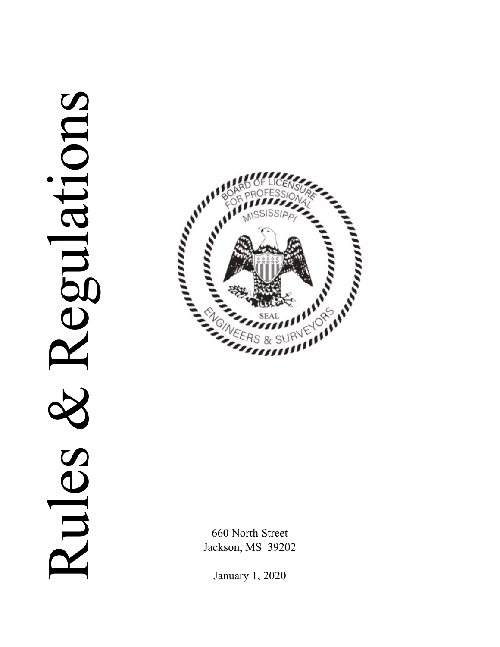# Regulations Rules & Regulations Rules.



660 North Street Jackson, MS 39202

January 1, 2020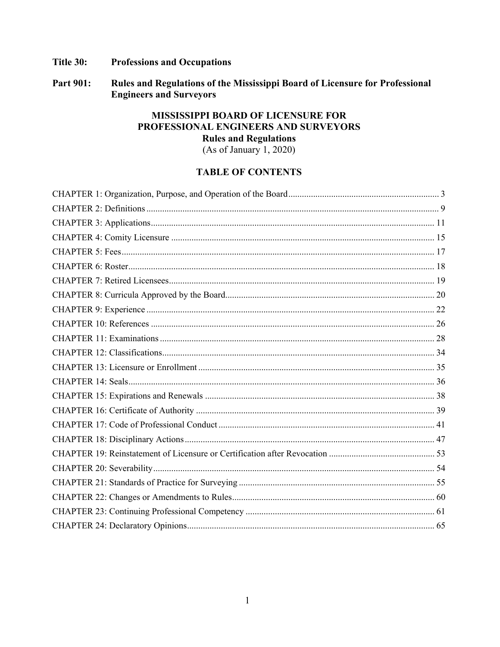### Title 30: **Professions and Occupations**

Rules and Regulations of the Mississippi Board of Licensure for Professional **Part 901: Engineers and Surveyors** 

# MISSISSIPPI BOARD OF LICENSURE FOR PROFESSIONAL ENGINEERS AND SURVEYORS **Rules and Regulations**

 $(As of January 1, 2020)$ 

# **TABLE OF CONTENTS**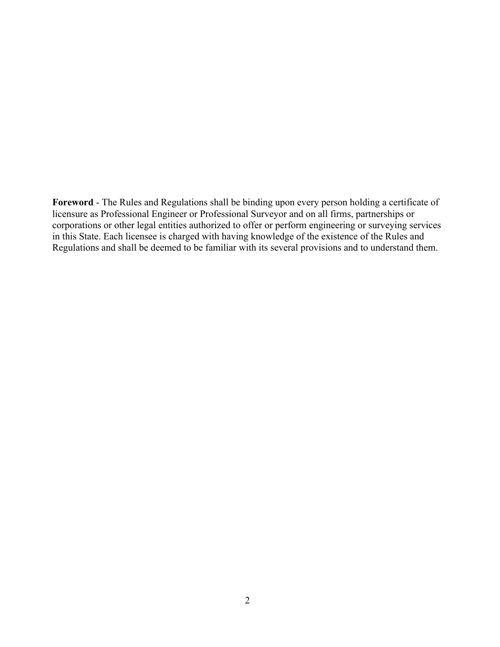**Foreword** - The Rules and Regulations shall be binding upon every person holding a certificate of licensure as Professional Engineer or Professional Surveyor and on all firms, partnerships or corporations or other legal entities authorized to offer or perform engineering or surveying services in this State. Each licensee is charged with having knowledge of the existence of the Rules and Regulations and shall be deemed to be familiar with its several provisions and to understand them.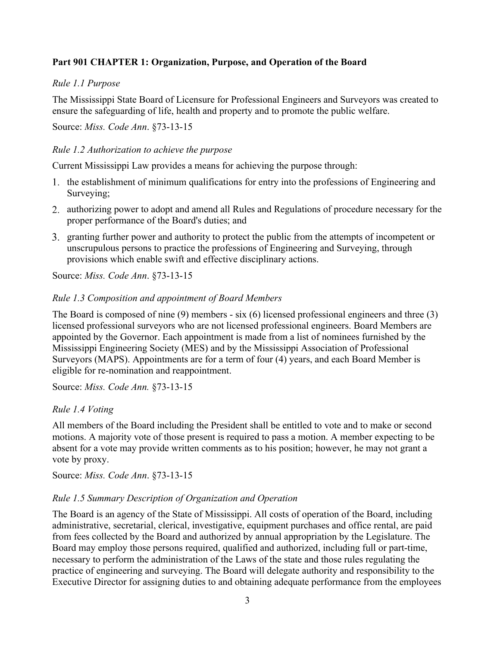# <span id="page-3-0"></span>**Part 901 CHAPTER 1: Organization, Purpose, and Operation of the Board**

# *Rule 1.1 Purpose*

The Mississippi State Board of Licensure for Professional Engineers and Surveyors was created to ensure the safeguarding of life, health and property and to promote the public welfare.

### Source: *Miss. Code Ann*. §73-13-15

## *Rule 1.2 Authorization to achieve the purpose*

Current Mississippi Law provides a means for achieving the purpose through:

- 1. the establishment of minimum qualifications for entry into the professions of Engineering and Surveying;
- 2. authorizing power to adopt and amend all Rules and Regulations of procedure necessary for the proper performance of the Board's duties; and
- 3. granting further power and authority to protect the public from the attempts of incompetent or unscrupulous persons to practice the professions of Engineering and Surveying, through provisions which enable swift and effective disciplinary actions.

Source: *Miss. Code Ann*. §73-13-15

# *Rule 1.3 Composition and appointment of Board Members*

The Board is composed of nine (9) members - six (6) licensed professional engineers and three (3) licensed professional surveyors who are not licensed professional engineers. Board Members are appointed by the Governor. Each appointment is made from a list of nominees furnished by the Mississippi Engineering Society (MES) and by the Mississippi Association of Professional Surveyors (MAPS). Appointments are for a term of four (4) years, and each Board Member is eligible for re-nomination and reappointment.

Source: *Miss. Code Ann.* §73-13-15

# *Rule 1.4 Voting*

All members of the Board including the President shall be entitled to vote and to make or second motions. A majority vote of those present is required to pass a motion. A member expecting to be absent for a vote may provide written comments as to his position; however, he may not grant a vote by proxy.

Source: *Miss. Code Ann*. §73-13-15

### *Rule 1.5 Summary Description of Organization and Operation*

The Board is an agency of the State of Mississippi. All costs of operation of the Board, including administrative, secretarial, clerical, investigative, equipment purchases and office rental, are paid from fees collected by the Board and authorized by annual appropriation by the Legislature. The Board may employ those persons required, qualified and authorized, including full or part-time, necessary to perform the administration of the Laws of the state and those rules regulating the practice of engineering and surveying. The Board will delegate authority and responsibility to the Executive Director for assigning duties to and obtaining adequate performance from the employees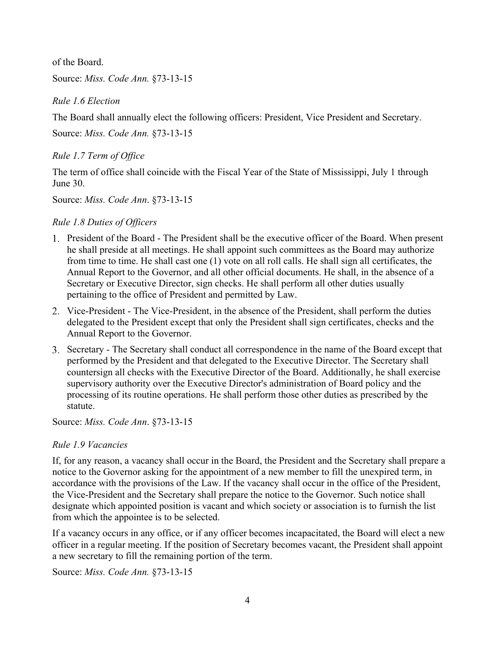of the Board.

Source: *Miss. Code Ann.* §73-13-15

*Rule 1.6 Election*

The Board shall annually elect the following officers: President, Vice President and Secretary.

Source: *Miss. Code Ann.* §73-13-15

*Rule 1.7 Term of Office*

The term of office shall coincide with the Fiscal Year of the State of Mississippi, July 1 through June 30.

Source: *Miss. Code Ann*. §73-13-15

# *Rule 1.8 Duties of Officers*

- President of the Board The President shall be the executive officer of the Board. When present he shall preside at all meetings. He shall appoint such committees as the Board may authorize from time to time. He shall cast one (1) vote on all roll calls. He shall sign all certificates, the Annual Report to the Governor, and all other official documents. He shall, in the absence of a Secretary or Executive Director, sign checks. He shall perform all other duties usually pertaining to the office of President and permitted by Law.
- Vice-President The Vice-President, in the absence of the President, shall perform the duties delegated to the President except that only the President shall sign certificates, checks and the Annual Report to the Governor.
- Secretary The Secretary shall conduct all correspondence in the name of the Board except that performed by the President and that delegated to the Executive Director. The Secretary shall countersign all checks with the Executive Director of the Board. Additionally, he shall exercise supervisory authority over the Executive Director's administration of Board policy and the processing of its routine operations. He shall perform those other duties as prescribed by the statute.

Source: *Miss. Code Ann*. §73-13-15

# *Rule 1.9 Vacancies*

If, for any reason, a vacancy shall occur in the Board, the President and the Secretary shall prepare a notice to the Governor asking for the appointment of a new member to fill the unexpired term, in accordance with the provisions of the Law. If the vacancy shall occur in the office of the President, the Vice-President and the Secretary shall prepare the notice to the Governor. Such notice shall designate which appointed position is vacant and which society or association is to furnish the list from which the appointee is to be selected.

If a vacancy occurs in any office, or if any officer becomes incapacitated, the Board will elect a new officer in a regular meeting. If the position of Secretary becomes vacant, the President shall appoint a new secretary to fill the remaining portion of the term.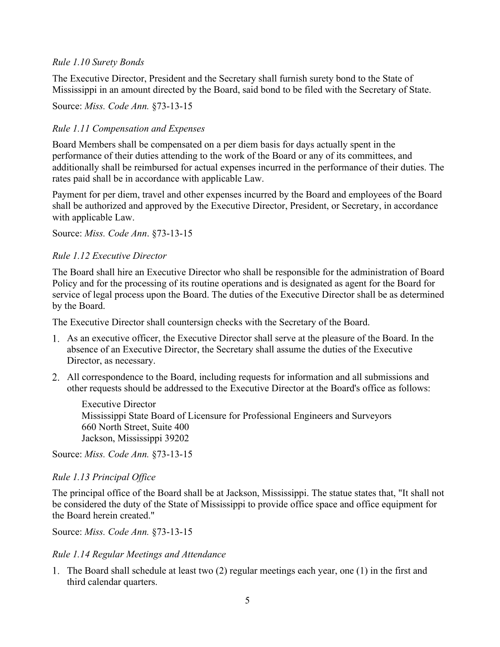### *Rule 1.10 Surety Bonds*

The Executive Director, President and the Secretary shall furnish surety bond to the State of Mississippi in an amount directed by the Board, said bond to be filed with the Secretary of State.

Source: *Miss. Code Ann.* §73-13-15

# *Rule 1.11 Compensation and Expenses*

Board Members shall be compensated on a per diem basis for days actually spent in the performance of their duties attending to the work of the Board or any of its committees, and additionally shall be reimbursed for actual expenses incurred in the performance of their duties. The rates paid shall be in accordance with applicable Law.

Payment for per diem, travel and other expenses incurred by the Board and employees of the Board shall be authorized and approved by the Executive Director, President, or Secretary, in accordance with applicable Law.

Source: *Miss. Code Ann*. §73-13-15

# *Rule 1.12 Executive Director*

The Board shall hire an Executive Director who shall be responsible for the administration of Board Policy and for the processing of its routine operations and is designated as agent for the Board for service of legal process upon the Board. The duties of the Executive Director shall be as determined by the Board.

The Executive Director shall countersign checks with the Secretary of the Board.

- As an executive officer, the Executive Director shall serve at the pleasure of the Board. In the absence of an Executive Director, the Secretary shall assume the duties of the Executive Director, as necessary.
- All correspondence to the Board, including requests for information and all submissions and other requests should be addressed to the Executive Director at the Board's office as follows:

Executive Director Mississippi State Board of Licensure for Professional Engineers and Surveyors 660 North Street, Suite 400 Jackson, Mississippi 39202

Source: *Miss. Code Ann.* §73-13-15

### *Rule 1.13 Principal Office*

The principal office of the Board shall be at Jackson, Mississippi. The statue states that, "It shall not be considered the duty of the State of Mississippi to provide office space and office equipment for the Board herein created."

Source: *Miss. Code Ann.* §73-13-15

### *Rule 1.14 Regular Meetings and Attendance*

The Board shall schedule at least two (2) regular meetings each year, one (1) in the first and third calendar quarters.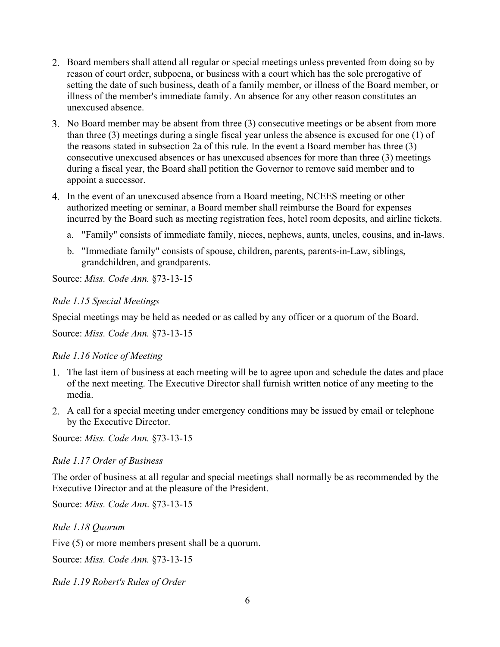- 2. Board members shall attend all regular or special meetings unless prevented from doing so by reason of court order, subpoena, or business with a court which has the sole prerogative of setting the date of such business, death of a family member, or illness of the Board member, or illness of the member's immediate family. An absence for any other reason constitutes an unexcused absence.
- No Board member may be absent from three (3) consecutive meetings or be absent from more than three (3) meetings during a single fiscal year unless the absence is excused for one (1) of the reasons stated in subsection 2a of this rule. In the event a Board member has three (3) consecutive unexcused absences or has unexcused absences for more than three (3) meetings during a fiscal year, the Board shall petition the Governor to remove said member and to appoint a successor.
- In the event of an unexcused absence from a Board meeting, NCEES meeting or other authorized meeting or seminar, a Board member shall reimburse the Board for expenses incurred by the Board such as meeting registration fees, hotel room deposits, and airline tickets.
	- a. "Family" consists of immediate family, nieces, nephews, aunts, uncles, cousins, and in-laws.
	- b. "Immediate family" consists of spouse, children, parents, parents-in-Law, siblings, grandchildren, and grandparents.

Source: *Miss. Code Ann.* §73-13-15

### *Rule 1.15 Special Meetings*

Special meetings may be held as needed or as called by any officer or a quorum of the Board.

Source: *Miss. Code Ann.* §73-13-15

### *Rule 1.16 Notice of Meeting*

- The last item of business at each meeting will be to agree upon and schedule the dates and place of the next meeting. The Executive Director shall furnish written notice of any meeting to the media.
- A call for a special meeting under emergency conditions may be issued by email or telephone by the Executive Director.

Source: *Miss. Code Ann.* §73-13-15

### *Rule 1.17 Order of Business*

The order of business at all regular and special meetings shall normally be as recommended by the Executive Director and at the pleasure of the President.

Source: *Miss. Code Ann*. §73-13-15

*Rule 1.18 Quorum*

Five (5) or more members present shall be a quorum.

Source: *Miss. Code Ann.* §73-13-15

*Rule 1.19 Robert's Rules of Order*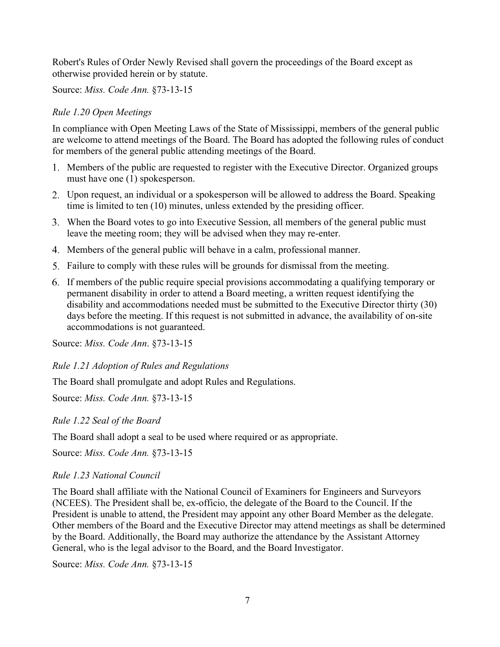Robert's Rules of Order Newly Revised shall govern the proceedings of the Board except as otherwise provided herein or by statute.

Source: *Miss. Code Ann.* §73-13-15

# *Rule 1.20 Open Meetings*

In compliance with Open Meeting Laws of the State of Mississippi, members of the general public are welcome to attend meetings of the Board. The Board has adopted the following rules of conduct for members of the general public attending meetings of the Board.

- Members of the public are requested to register with the Executive Director. Organized groups must have one (1) spokesperson.
- Upon request, an individual or a spokesperson will be allowed to address the Board. Speaking time is limited to ten (10) minutes, unless extended by the presiding officer.
- When the Board votes to go into Executive Session, all members of the general public must leave the meeting room; they will be advised when they may re-enter.
- Members of the general public will behave in a calm, professional manner.
- Failure to comply with these rules will be grounds for dismissal from the meeting.
- If members of the public require special provisions accommodating a qualifying temporary or permanent disability in order to attend a Board meeting, a written request identifying the disability and accommodations needed must be submitted to the Executive Director thirty (30) days before the meeting. If this request is not submitted in advance, the availability of on-site accommodations is not guaranteed.

Source: *Miss. Code Ann*. §73-13-15

*Rule 1.21 Adoption of Rules and Regulations*

The Board shall promulgate and adopt Rules and Regulations.

Source: *Miss. Code Ann.* §73-13-15

*Rule 1.22 Seal of the Board*

The Board shall adopt a seal to be used where required or as appropriate.

Source: *Miss. Code Ann.* §73-13-15

# *Rule 1.23 National Council*

The Board shall affiliate with the National Council of Examiners for Engineers and Surveyors (NCEES). The President shall be, ex-officio, the delegate of the Board to the Council. If the President is unable to attend, the President may appoint any other Board Member as the delegate. Other members of the Board and the Executive Director may attend meetings as shall be determined by the Board. Additionally, the Board may authorize the attendance by the Assistant Attorney General, who is the legal advisor to the Board, and the Board Investigator.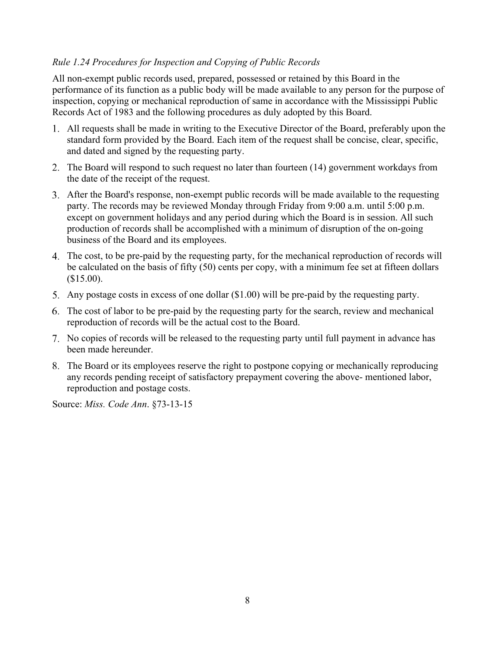# *Rule 1.24 Procedures for Inspection and Copying of Public Records*

All non-exempt public records used, prepared, possessed or retained by this Board in the performance of its function as a public body will be made available to any person for the purpose of inspection, copying or mechanical reproduction of same in accordance with the Mississippi Public Records Act of 1983 and the following procedures as duly adopted by this Board.

- All requests shall be made in writing to the Executive Director of the Board, preferably upon the standard form provided by the Board. Each item of the request shall be concise, clear, specific, and dated and signed by the requesting party.
- 2. The Board will respond to such request no later than fourteen (14) government workdays from the date of the receipt of the request.
- After the Board's response, non-exempt public records will be made available to the requesting party. The records may be reviewed Monday through Friday from 9:00 a.m. until 5:00 p.m. except on government holidays and any period during which the Board is in session. All such production of records shall be accomplished with a minimum of disruption of the on-going business of the Board and its employees.
- The cost, to be pre-paid by the requesting party, for the mechanical reproduction of records will be calculated on the basis of fifty (50) cents per copy, with a minimum fee set at fifteen dollars (\$15.00).
- Any postage costs in excess of one dollar (\$1.00) will be pre-paid by the requesting party.
- The cost of labor to be pre-paid by the requesting party for the search, review and mechanical reproduction of records will be the actual cost to the Board.
- No copies of records will be released to the requesting party until full payment in advance has been made hereunder.
- The Board or its employees reserve the right to postpone copying or mechanically reproducing any records pending receipt of satisfactory prepayment covering the above- mentioned labor, reproduction and postage costs.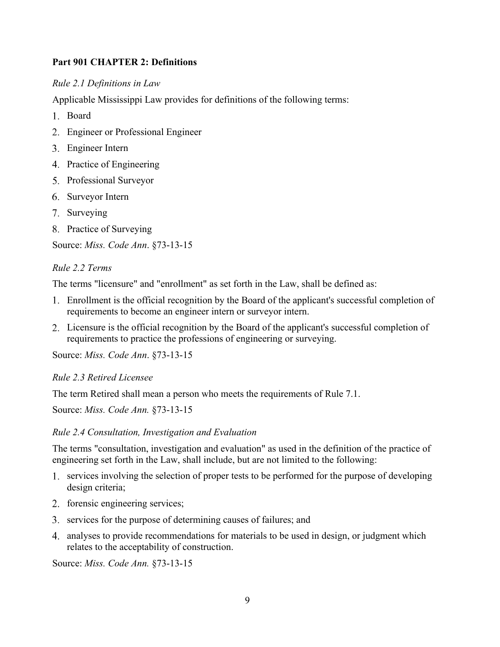# <span id="page-9-0"></span>**Part 901 CHAPTER 2: Definitions**

# *Rule 2.1 Definitions in Law*

Applicable Mississippi Law provides for definitions of the following terms:

- Board
- Engineer or Professional Engineer
- Engineer Intern
- 4. Practice of Engineering
- 5. Professional Surveyor
- 6. Surveyor Intern
- 7. Surveying
- 8. Practice of Surveying

Source: *Miss. Code Ann*. §73-13-15

## *Rule 2.2 Terms*

The terms "licensure" and "enrollment" as set forth in the Law, shall be defined as:

- Enrollment is the official recognition by the Board of the applicant's successful completion of requirements to become an engineer intern or surveyor intern.
- Licensure is the official recognition by the Board of the applicant's successful completion of requirements to practice the professions of engineering or surveying.

Source: *Miss. Code Ann*. §73-13-15

### *Rule 2.3 Retired Licensee*

The term Retired shall mean a person who meets the requirements of Rule 7.1.

Source: *Miss. Code Ann.* §73-13-15

### *Rule 2.4 Consultation, Investigation and Evaluation*

The terms "consultation, investigation and evaluation" as used in the definition of the practice of engineering set forth in the Law, shall include, but are not limited to the following:

- services involving the selection of proper tests to be performed for the purpose of developing design criteria;
- 2. forensic engineering services;
- 3. services for the purpose of determining causes of failures; and
- analyses to provide recommendations for materials to be used in design, or judgment which relates to the acceptability of construction.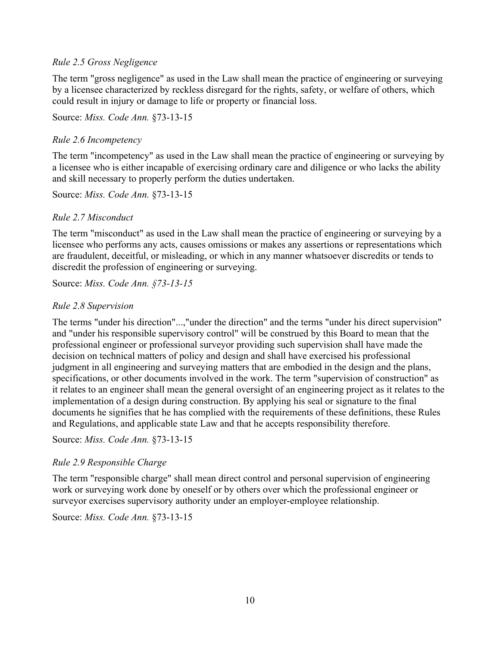### *Rule 2.5 Gross Negligence*

The term "gross negligence" as used in the Law shall mean the practice of engineering or surveying by a licensee characterized by reckless disregard for the rights, safety, or welfare of others, which could result in injury or damage to life or property or financial loss.

Source: *Miss. Code Ann.* §73-13-15

## *Rule 2.6 Incompetency*

The term "incompetency" as used in the Law shall mean the practice of engineering or surveying by a licensee who is either incapable of exercising ordinary care and diligence or who lacks the ability and skill necessary to properly perform the duties undertaken.

Source: *Miss. Code Ann.* §73-13-15

## *Rule 2.7 Misconduct*

The term "misconduct" as used in the Law shall mean the practice of engineering or surveying by a licensee who performs any acts, causes omissions or makes any assertions or representations which are fraudulent, deceitful, or misleading, or which in any manner whatsoever discredits or tends to discredit the profession of engineering or surveying.

Source: *Miss. Code Ann. §73-13-15*

## *Rule 2.8 Supervision*

The terms "under his direction"...,"under the direction" and the terms "under his direct supervision" and "under his responsible supervisory control" will be construed by this Board to mean that the professional engineer or professional surveyor providing such supervision shall have made the decision on technical matters of policy and design and shall have exercised his professional judgment in all engineering and surveying matters that are embodied in the design and the plans, specifications, or other documents involved in the work. The term "supervision of construction" as it relates to an engineer shall mean the general oversight of an engineering project as it relates to the implementation of a design during construction. By applying his seal or signature to the final documents he signifies that he has complied with the requirements of these definitions, these Rules and Regulations, and applicable state Law and that he accepts responsibility therefore.

Source: *Miss. Code Ann.* §73-13-15

# *Rule 2.9 Responsible Charge*

The term "responsible charge" shall mean direct control and personal supervision of engineering work or surveying work done by oneself or by others over which the professional engineer or surveyor exercises supervisory authority under an employer-employee relationship.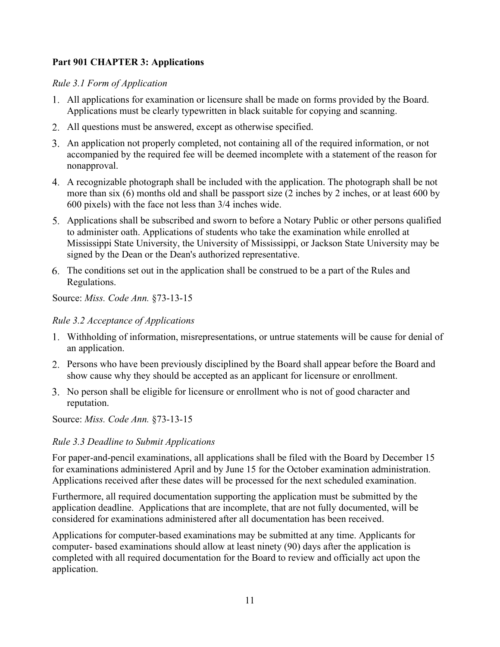# <span id="page-11-0"></span>**Part 901 CHAPTER 3: Applications**

# *Rule 3.1 Form of Application*

- All applications for examination or licensure shall be made on forms provided by the Board. Applications must be clearly typewritten in black suitable for copying and scanning.
- All questions must be answered, except as otherwise specified.
- An application not properly completed, not containing all of the required information, or not accompanied by the required fee will be deemed incomplete with a statement of the reason for nonapproval.
- A recognizable photograph shall be included with the application. The photograph shall be not more than six (6) months old and shall be passport size (2 inches by 2 inches, or at least 600 by 600 pixels) with the face not less than 3/4 inches wide.
- Applications shall be subscribed and sworn to before a Notary Public or other persons qualified to administer oath. Applications of students who take the examination while enrolled at Mississippi State University, the University of Mississippi, or Jackson State University may be signed by the Dean or the Dean's authorized representative.
- The conditions set out in the application shall be construed to be a part of the Rules and Regulations.

Source: *Miss. Code Ann.* §73-13-15

## *Rule 3.2 Acceptance of Applications*

- Withholding of information, misrepresentations, or untrue statements will be cause for denial of an application.
- Persons who have been previously disciplined by the Board shall appear before the Board and show cause why they should be accepted as an applicant for licensure or enrollment.
- No person shall be eligible for licensure or enrollment who is not of good character and reputation.

Source: *Miss. Code Ann.* §73-13-15

# *Rule 3.3 Deadline to Submit Applications*

For paper-and-pencil examinations, all applications shall be filed with the Board by December 15 for examinations administered April and by June 15 for the October examination administration. Applications received after these dates will be processed for the next scheduled examination.

Furthermore, all required documentation supporting the application must be submitted by the application deadline. Applications that are incomplete, that are not fully documented, will be considered for examinations administered after all documentation has been received.

Applications for computer-based examinations may be submitted at any time. Applicants for computer- based examinations should allow at least ninety (90) days after the application is completed with all required documentation for the Board to review and officially act upon the application.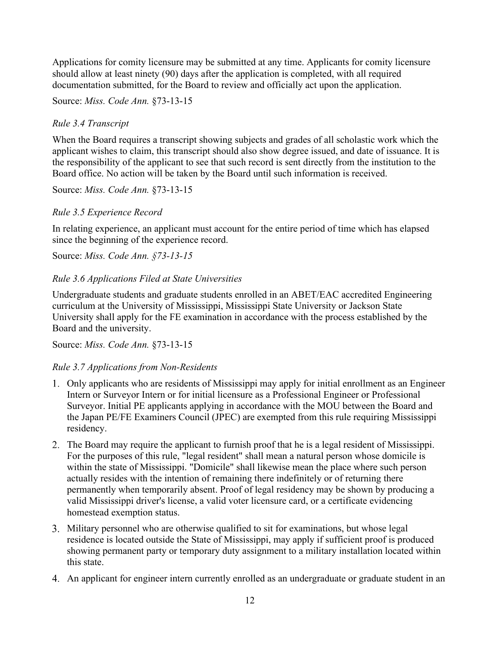Applications for comity licensure may be submitted at any time. Applicants for comity licensure should allow at least ninety (90) days after the application is completed, with all required documentation submitted, for the Board to review and officially act upon the application.

Source: *Miss. Code Ann.* §73-13-15

# *Rule 3.4 Transcript*

When the Board requires a transcript showing subjects and grades of all scholastic work which the applicant wishes to claim, this transcript should also show degree issued, and date of issuance. It is the responsibility of the applicant to see that such record is sent directly from the institution to the Board office. No action will be taken by the Board until such information is received.

Source: *Miss. Code Ann.* §73-13-15

## *Rule 3.5 Experience Record*

In relating experience, an applicant must account for the entire period of time which has elapsed since the beginning of the experience record.

Source: *Miss. Code Ann. §73-13-15*

## *Rule 3.6 Applications Filed at State Universities*

Undergraduate students and graduate students enrolled in an ABET/EAC accredited Engineering curriculum at the University of Mississippi, Mississippi State University or Jackson State University shall apply for the FE examination in accordance with the process established by the Board and the university.

Source: *Miss. Code Ann.* §73-13-15

### *Rule 3.7 Applications from Non-Residents*

- Only applicants who are residents of Mississippi may apply for initial enrollment as an Engineer Intern or Surveyor Intern or for initial licensure as a Professional Engineer or Professional Surveyor. Initial PE applicants applying in accordance with the MOU between the Board and the Japan PE/FE Examiners Council (JPEC) are exempted from this rule requiring Mississippi residency.
- The Board may require the applicant to furnish proof that he is a legal resident of Mississippi. For the purposes of this rule, "legal resident" shall mean a natural person whose domicile is within the state of Mississippi. "Domicile" shall likewise mean the place where such person actually resides with the intention of remaining there indefinitely or of returning there permanently when temporarily absent. Proof of legal residency may be shown by producing a valid Mississippi driver's license, a valid voter licensure card, or a certificate evidencing homestead exemption status.
- Military personnel who are otherwise qualified to sit for examinations, but whose legal residence is located outside the State of Mississippi, may apply if sufficient proof is produced showing permanent party or temporary duty assignment to a military installation located within this state.
- An applicant for engineer intern currently enrolled as an undergraduate or graduate student in an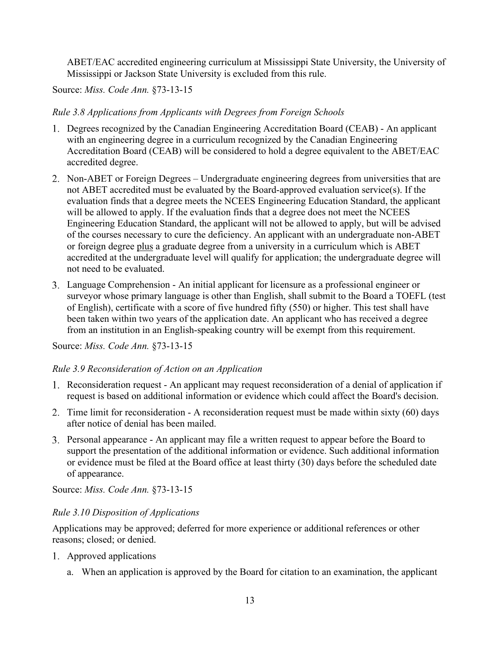ABET/EAC accredited engineering curriculum at Mississippi State University, the University of Mississippi or Jackson State University is excluded from this rule.

Source: *Miss. Code Ann.* §73-13-15

*Rule 3.8 Applications from Applicants with Degrees from Foreign Schools*

- Degrees recognized by the Canadian Engineering Accreditation Board (CEAB) An applicant with an engineering degree in a curriculum recognized by the Canadian Engineering Accreditation Board (CEAB) will be considered to hold a degree equivalent to the ABET/EAC accredited degree.
- 2. Non-ABET or Foreign Degrees Undergraduate engineering degrees from universities that are not ABET accredited must be evaluated by the Board-approved evaluation service(s). If the evaluation finds that a degree meets the NCEES Engineering Education Standard, the applicant will be allowed to apply. If the evaluation finds that a degree does not meet the NCEES Engineering Education Standard, the applicant will not be allowed to apply, but will be advised of the courses necessary to cure the deficiency. An applicant with an undergraduate non-ABET or foreign degree plus a graduate degree from a university in a curriculum which is ABET accredited at the undergraduate level will qualify for application; the undergraduate degree will not need to be evaluated.
- Language Comprehension An initial applicant for licensure as a professional engineer or surveyor whose primary language is other than English, shall submit to the Board a TOEFL (test of English), certificate with a score of five hundred fifty (550) or higher. This test shall have been taken within two years of the application date. An applicant who has received a degree from an institution in an English-speaking country will be exempt from this requirement.

Source: *Miss. Code Ann.* §73-13-15

# *Rule 3.9 Reconsideration of Action on an Application*

- Reconsideration request An applicant may request reconsideration of a denial of application if request is based on additional information or evidence which could affect the Board's decision.
- 2. Time limit for reconsideration A reconsideration request must be made within sixty (60) days after notice of denial has been mailed.
- Personal appearance An applicant may file a written request to appear before the Board to support the presentation of the additional information or evidence. Such additional information or evidence must be filed at the Board office at least thirty (30) days before the scheduled date of appearance.

Source: *Miss. Code Ann.* §73-13-15

# *Rule 3.10 Disposition of Applications*

Applications may be approved; deferred for more experience or additional references or other reasons; closed; or denied.

- Approved applications
	- a. When an application is approved by the Board for citation to an examination, the applicant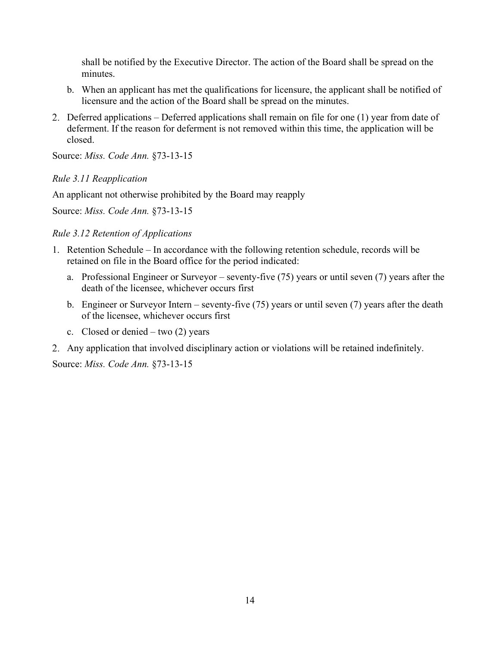shall be notified by the Executive Director. The action of the Board shall be spread on the minutes.

- b. When an applicant has met the qualifications for licensure, the applicant shall be notified of licensure and the action of the Board shall be spread on the minutes.
- Deferred applications Deferred applications shall remain on file for one (1) year from date of deferment. If the reason for deferment is not removed within this time, the application will be closed.

Source: *Miss. Code Ann.* §73-13-15

### *Rule 3.11 Reapplication*

An applicant not otherwise prohibited by the Board may reapply

Source: *Miss. Code Ann.* §73-13-15

### *Rule 3.12 Retention of Applications*

- 1. Retention Schedule In accordance with the following retention schedule, records will be retained on file in the Board office for the period indicated:
	- a. Professional Engineer or Surveyor seventy-five (75) years or until seven (7) years after the death of the licensee, whichever occurs first
	- b. Engineer or Surveyor Intern seventy-five (75) years or until seven (7) years after the death of the licensee, whichever occurs first
	- c. Closed or denied two  $(2)$  years
- Any application that involved disciplinary action or violations will be retained indefinitely.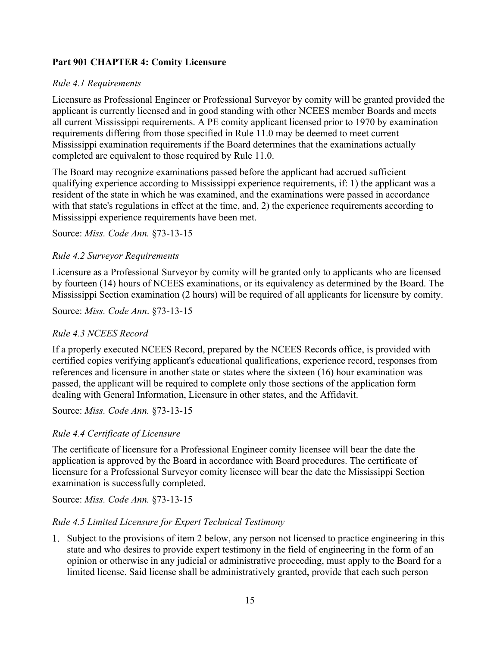# <span id="page-15-0"></span>**Part 901 CHAPTER 4: Comity Licensure**

# *Rule 4.1 Requirements*

Licensure as Professional Engineer or Professional Surveyor by comity will be granted provided the applicant is currently licensed and in good standing with other NCEES member Boards and meets all current Mississippi requirements. A PE comity applicant licensed prior to 1970 by examination requirements differing from those specified in Rule 11.0 may be deemed to meet current Mississippi examination requirements if the Board determines that the examinations actually completed are equivalent to those required by Rule 11.0.

The Board may recognize examinations passed before the applicant had accrued sufficient qualifying experience according to Mississippi experience requirements, if: 1) the applicant was a resident of the state in which he was examined, and the examinations were passed in accordance with that state's regulations in effect at the time, and, 2) the experience requirements according to Mississippi experience requirements have been met.

Source: *Miss. Code Ann.* §73-13-15

# *Rule 4.2 Surveyor Requirements*

Licensure as a Professional Surveyor by comity will be granted only to applicants who are licensed by fourteen (14) hours of NCEES examinations, or its equivalency as determined by the Board. The Mississippi Section examination (2 hours) will be required of all applicants for licensure by comity.

Source: *Miss. Code Ann*. §73-13-15

# *Rule 4.3 NCEES Record*

If a properly executed NCEES Record, prepared by the NCEES Records office, is provided with certified copies verifying applicant's educational qualifications, experience record, responses from references and licensure in another state or states where the sixteen (16) hour examination was passed, the applicant will be required to complete only those sections of the application form dealing with General Information, Licensure in other states, and the Affidavit.

Source: *Miss. Code Ann.* §73-13-15

# *Rule 4.4 Certificate of Licensure*

The certificate of licensure for a Professional Engineer comity licensee will bear the date the application is approved by the Board in accordance with Board procedures. The certificate of licensure for a Professional Surveyor comity licensee will bear the date the Mississippi Section examination is successfully completed.

Source: *Miss. Code Ann.* §73-13-15

# *Rule 4.5 Limited Licensure for Expert Technical Testimony*

Subject to the provisions of item 2 below, any person not licensed to practice engineering in this state and who desires to provide expert testimony in the field of engineering in the form of an opinion or otherwise in any judicial or administrative proceeding, must apply to the Board for a limited license. Said license shall be administratively granted, provide that each such person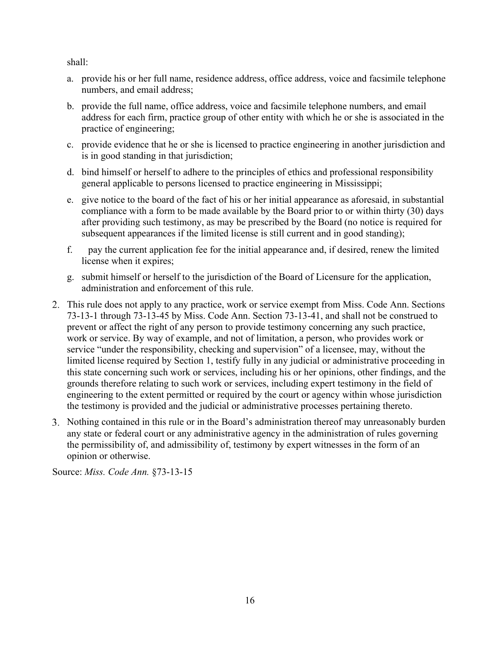shall:

- a. provide his or her full name, residence address, office address, voice and facsimile telephone numbers, and email address;
- b. provide the full name, office address, voice and facsimile telephone numbers, and email address for each firm, practice group of other entity with which he or she is associated in the practice of engineering;
- c. provide evidence that he or she is licensed to practice engineering in another jurisdiction and is in good standing in that jurisdiction;
- d. bind himself or herself to adhere to the principles of ethics and professional responsibility general applicable to persons licensed to practice engineering in Mississippi;
- e. give notice to the board of the fact of his or her initial appearance as aforesaid, in substantial compliance with a form to be made available by the Board prior to or within thirty (30) days after providing such testimony, as may be prescribed by the Board (no notice is required for subsequent appearances if the limited license is still current and in good standing);
- f. pay the current application fee for the initial appearance and, if desired, renew the limited license when it expires;
- g. submit himself or herself to the jurisdiction of the Board of Licensure for the application, administration and enforcement of this rule.
- This rule does not apply to any practice, work or service exempt from Miss. Code Ann. Sections 73-13-1 through 73-13-45 by Miss. Code Ann. Section 73-13-41, and shall not be construed to prevent or affect the right of any person to provide testimony concerning any such practice, work or service. By way of example, and not of limitation, a person, who provides work or service "under the responsibility, checking and supervision" of a licensee, may, without the limited license required by Section 1, testify fully in any judicial or administrative proceeding in this state concerning such work or services, including his or her opinions, other findings, and the grounds therefore relating to such work or services, including expert testimony in the field of engineering to the extent permitted or required by the court or agency within whose jurisdiction the testimony is provided and the judicial or administrative processes pertaining thereto.
- Nothing contained in this rule or in the Board's administration thereof may unreasonably burden any state or federal court or any administrative agency in the administration of rules governing the permissibility of, and admissibility of, testimony by expert witnesses in the form of an opinion or otherwise.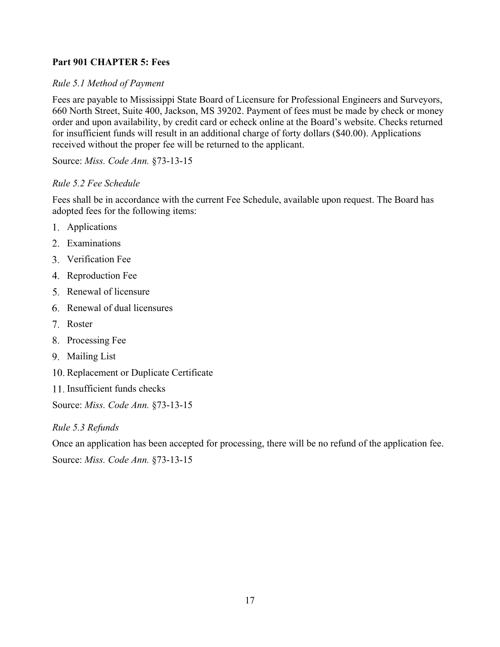# <span id="page-17-0"></span>**Part 901 CHAPTER 5: Fees**

# *Rule 5.1 Method of Payment*

Fees are payable to Mississippi State Board of Licensure for Professional Engineers and Surveyors, 660 North Street, Suite 400, Jackson, MS 39202. Payment of fees must be made by check or money order and upon availability, by credit card or echeck online at the Board's website. Checks returned for insufficient funds will result in an additional charge of forty dollars (\$40.00). Applications received without the proper fee will be returned to the applicant.

Source: *Miss. Code Ann.* §73-13-15

## *Rule 5.2 Fee Schedule*

Fees shall be in accordance with the current Fee Schedule, available upon request. The Board has adopted fees for the following items:

- Applications
- Examinations
- Verification Fee
- 4. Reproduction Fee
- 5. Renewal of licensure
- Renewal of dual licensures
- Roster
- 8. Processing Fee
- Mailing List
- 10. Replacement or Duplicate Certificate
- 11. Insufficient funds checks

Source: *Miss. Code Ann.* §73-13-15

*Rule 5.3 Refunds*

Once an application has been accepted for processing, there will be no refund of the application fee. Source: *Miss. Code Ann.* §73-13-15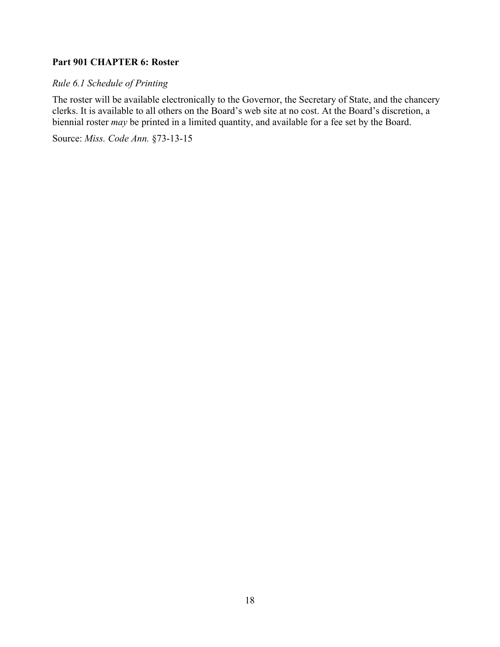# <span id="page-18-0"></span>**Part 901 CHAPTER 6: Roster**

# *Rule 6.1 Schedule of Printing*

The roster will be available electronically to the Governor, the Secretary of State, and the chancery clerks. It is available to all others on the Board's web site at no cost. At the Board's discretion, a biennial roster *may* be printed in a limited quantity, and available for a fee set by the Board.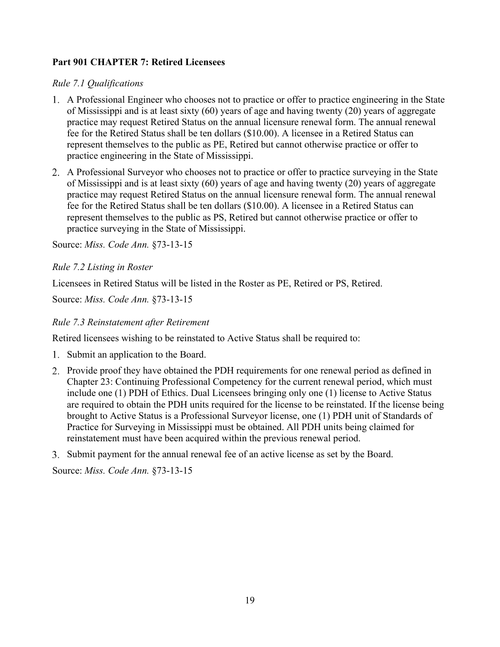# <span id="page-19-0"></span>**Part 901 CHAPTER 7: Retired Licensees**

# *Rule 7.1 Qualifications*

- A Professional Engineer who chooses not to practice or offer to practice engineering in the State of Mississippi and is at least sixty (60) years of age and having twenty (20) years of aggregate practice may request Retired Status on the annual licensure renewal form. The annual renewal fee for the Retired Status shall be ten dollars (\$10.00). A licensee in a Retired Status can represent themselves to the public as PE, Retired but cannot otherwise practice or offer to practice engineering in the State of Mississippi.
- A Professional Surveyor who chooses not to practice or offer to practice surveying in the State of Mississippi and is at least sixty (60) years of age and having twenty (20) years of aggregate practice may request Retired Status on the annual licensure renewal form. The annual renewal fee for the Retired Status shall be ten dollars (\$10.00). A licensee in a Retired Status can represent themselves to the public as PS, Retired but cannot otherwise practice or offer to practice surveying in the State of Mississippi.

Source: *Miss. Code Ann.* §73-13-15

## *Rule 7.2 Listing in Roster*

Licensees in Retired Status will be listed in the Roster as PE, Retired or PS, Retired.

Source: *Miss. Code Ann.* §73-13-15

## *Rule 7.3 Reinstatement after Retirement*

Retired licensees wishing to be reinstated to Active Status shall be required to:

- 1. Submit an application to the Board.
- 2. Provide proof they have obtained the PDH requirements for one renewal period as defined in Chapter 23: Continuing Professional Competency for the current renewal period, which must include one (1) PDH of Ethics. Dual Licensees bringing only one (1) license to Active Status are required to obtain the PDH units required for the license to be reinstated. If the license being brought to Active Status is a Professional Surveyor license, one (1) PDH unit of Standards of Practice for Surveying in Mississippi must be obtained. All PDH units being claimed for reinstatement must have been acquired within the previous renewal period.
- Submit payment for the annual renewal fee of an active license as set by the Board.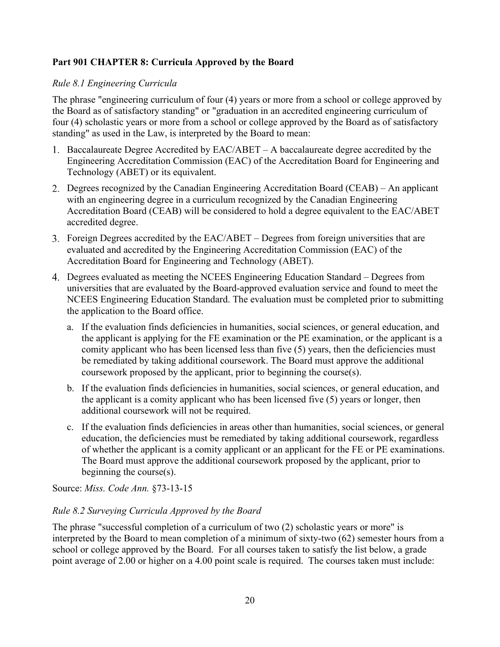# <span id="page-20-0"></span>**Part 901 CHAPTER 8: Curricula Approved by the Board**

# *Rule 8.1 Engineering Curricula*

The phrase "engineering curriculum of four (4) years or more from a school or college approved by the Board as of satisfactory standing" or "graduation in an accredited engineering curriculum of four (4) scholastic years or more from a school or college approved by the Board as of satisfactory standing" as used in the Law, is interpreted by the Board to mean:

- 1. Baccalaureate Degree Accredited by  $EAC/ABET A$  baccalaureate degree accredited by the Engineering Accreditation Commission (EAC) of the Accreditation Board for Engineering and Technology (ABET) or its equivalent.
- Degrees recognized by the Canadian Engineering Accreditation Board (CEAB) An applicant with an engineering degree in a curriculum recognized by the Canadian Engineering Accreditation Board (CEAB) will be considered to hold a degree equivalent to the EAC/ABET accredited degree.
- Foreign Degrees accredited by the EAC/ABET Degrees from foreign universities that are evaluated and accredited by the Engineering Accreditation Commission (EAC) of the Accreditation Board for Engineering and Technology (ABET).
- Degrees evaluated as meeting the NCEES Engineering Education Standard Degrees from universities that are evaluated by the Board-approved evaluation service and found to meet the NCEES Engineering Education Standard. The evaluation must be completed prior to submitting the application to the Board office.
	- a. If the evaluation finds deficiencies in humanities, social sciences, or general education, and the applicant is applying for the FE examination or the PE examination, or the applicant is a comity applicant who has been licensed less than five (5) years, then the deficiencies must be remediated by taking additional coursework. The Board must approve the additional coursework proposed by the applicant, prior to beginning the course(s).
	- b. If the evaluation finds deficiencies in humanities, social sciences, or general education, and the applicant is a comity applicant who has been licensed five (5) years or longer, then additional coursework will not be required.
	- c. If the evaluation finds deficiencies in areas other than humanities, social sciences, or general education, the deficiencies must be remediated by taking additional coursework, regardless of whether the applicant is a comity applicant or an applicant for the FE or PE examinations. The Board must approve the additional coursework proposed by the applicant, prior to beginning the course(s).

Source: *Miss. Code Ann.* §73-13-15

# *Rule 8.2 Surveying Curricula Approved by the Board*

The phrase "successful completion of a curriculum of two (2) scholastic years or more" is interpreted by the Board to mean completion of a minimum of sixty-two (62) semester hours from a school or college approved by the Board. For all courses taken to satisfy the list below, a grade point average of 2.00 or higher on a 4.00 point scale is required. The courses taken must include: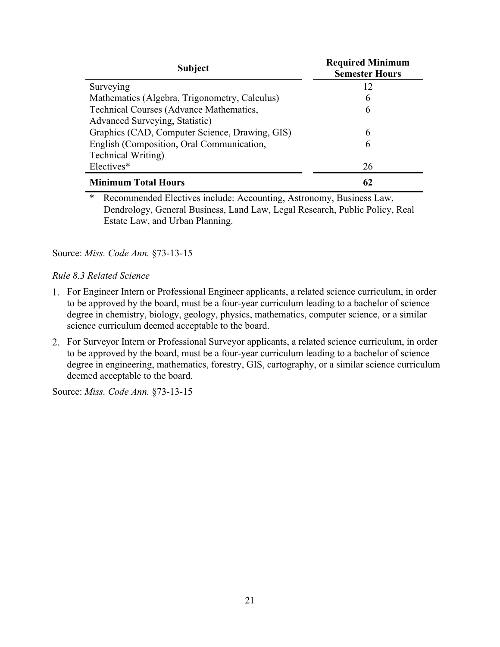| <b>Subject</b>                                 | <b>Required Minimum</b><br><b>Semester Hours</b> |
|------------------------------------------------|--------------------------------------------------|
| Surveying                                      | 12                                               |
| Mathematics (Algebra, Trigonometry, Calculus)  | 6                                                |
| Technical Courses (Advance Mathematics,        | 6                                                |
| Advanced Surveying, Statistic)                 |                                                  |
| Graphics (CAD, Computer Science, Drawing, GIS) | 6                                                |
| English (Composition, Oral Communication,      | 6                                                |
| <b>Technical Writing</b> )                     |                                                  |
| Electives*                                     | 26                                               |
| <b>Minimum Total Hours</b>                     | 62                                               |

\* Recommended Electives include: Accounting, Astronomy, Business Law, Dendrology, General Business, Land Law, Legal Research, Public Policy, Real Estate Law, and Urban Planning.

### Source: *Miss. Code Ann.* §73-13-15

### *Rule 8.3 Related Science*

- For Engineer Intern or Professional Engineer applicants, a related science curriculum, in order to be approved by the board, must be a four-year curriculum leading to a bachelor of science degree in chemistry, biology, geology, physics, mathematics, computer science, or a similar science curriculum deemed acceptable to the board.
- For Surveyor Intern or Professional Surveyor applicants, a related science curriculum, in order to be approved by the board, must be a four-year curriculum leading to a bachelor of science degree in engineering, mathematics, forestry, GIS, cartography, or a similar science curriculum deemed acceptable to the board.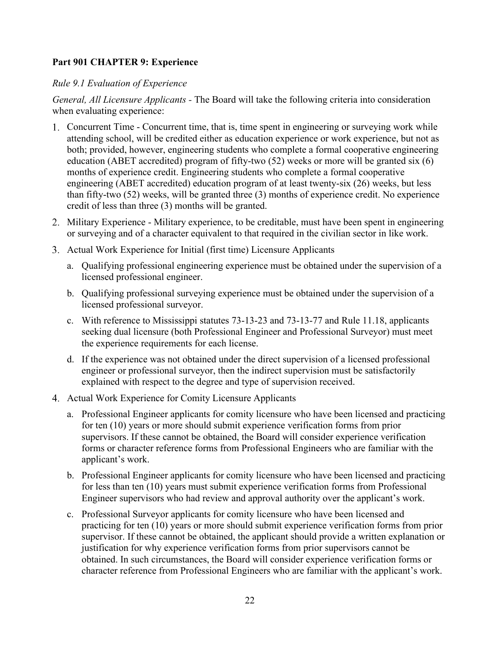# <span id="page-22-0"></span>**Part 901 CHAPTER 9: Experience**

## *Rule 9.1 Evaluation of Experience*

*General, All Licensure Applicants -* The Board will take the following criteria into consideration when evaluating experience:

- Concurrent Time Concurrent time, that is, time spent in engineering or surveying work while attending school, will be credited either as education experience or work experience, but not as both; provided, however, engineering students who complete a formal cooperative engineering education (ABET accredited) program of fifty-two (52) weeks or more will be granted six (6) months of experience credit. Engineering students who complete a formal cooperative engineering (ABET accredited) education program of at least twenty-six (26) weeks, but less than fifty-two (52) weeks, will be granted three (3) months of experience credit. No experience credit of less than three (3) months will be granted.
- Military Experience Military experience, to be creditable, must have been spent in engineering or surveying and of a character equivalent to that required in the civilian sector in like work.
- 3. Actual Work Experience for Initial (first time) Licensure Applicants
	- a. Qualifying professional engineering experience must be obtained under the supervision of a licensed professional engineer.
	- b. Qualifying professional surveying experience must be obtained under the supervision of a licensed professional surveyor.
	- c. With reference to Mississippi statutes 73-13-23 and 73-13-77 and Rule 11.18, applicants seeking dual licensure (both Professional Engineer and Professional Surveyor) must meet the experience requirements for each license.
	- d. If the experience was not obtained under the direct supervision of a licensed professional engineer or professional surveyor, then the indirect supervision must be satisfactorily explained with respect to the degree and type of supervision received.
- 4. Actual Work Experience for Comity Licensure Applicants
	- a. Professional Engineer applicants for comity licensure who have been licensed and practicing for ten (10) years or more should submit experience verification forms from prior supervisors. If these cannot be obtained, the Board will consider experience verification forms or character reference forms from Professional Engineers who are familiar with the applicant's work.
	- b. Professional Engineer applicants for comity licensure who have been licensed and practicing for less than ten (10) years must submit experience verification forms from Professional Engineer supervisors who had review and approval authority over the applicant's work.
	- c. Professional Surveyor applicants for comity licensure who have been licensed and practicing for ten (10) years or more should submit experience verification forms from prior supervisor. If these cannot be obtained, the applicant should provide a written explanation or justification for why experience verification forms from prior supervisors cannot be obtained. In such circumstances, the Board will consider experience verification forms or character reference from Professional Engineers who are familiar with the applicant's work.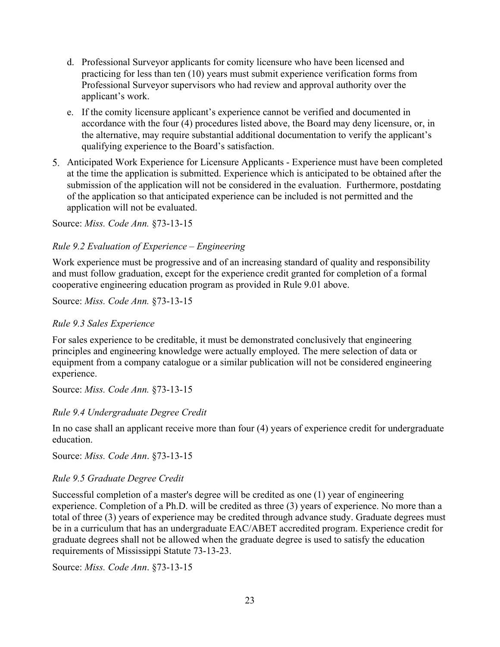- d. Professional Surveyor applicants for comity licensure who have been licensed and practicing for less than ten (10) years must submit experience verification forms from Professional Surveyor supervisors who had review and approval authority over the applicant's work.
- e. If the comity licensure applicant's experience cannot be verified and documented in accordance with the four (4) procedures listed above, the Board may deny licensure, or, in the alternative, may require substantial additional documentation to verify the applicant's qualifying experience to the Board's satisfaction.
- Anticipated Work Experience for Licensure Applicants Experience must have been completed at the time the application is submitted. Experience which is anticipated to be obtained after the submission of the application will not be considered in the evaluation. Furthermore, postdating of the application so that anticipated experience can be included is not permitted and the application will not be evaluated.

Source: *Miss. Code Ann.* §73-13-15

### *Rule 9.2 Evaluation of Experience – Engineering*

Work experience must be progressive and of an increasing standard of quality and responsibility and must follow graduation, except for the experience credit granted for completion of a formal cooperative engineering education program as provided in Rule 9.01 above.

Source: *Miss. Code Ann.* §73-13-15

### *Rule 9.3 Sales Experience*

For sales experience to be creditable, it must be demonstrated conclusively that engineering principles and engineering knowledge were actually employed. The mere selection of data or equipment from a company catalogue or a similar publication will not be considered engineering experience.

Source: *Miss. Code Ann.* §73-13-15

### *Rule 9.4 Undergraduate Degree Credit*

In no case shall an applicant receive more than four (4) years of experience credit for undergraduate education.

Source: *Miss. Code Ann*. §73-13-15

### *Rule 9.5 Graduate Degree Credit*

Successful completion of a master's degree will be credited as one (1) year of engineering experience. Completion of a Ph.D. will be credited as three (3) years of experience. No more than a total of three (3) years of experience may be credited through advance study. Graduate degrees must be in a curriculum that has an undergraduate EAC/ABET accredited program. Experience credit for graduate degrees shall not be allowed when the graduate degree is used to satisfy the education requirements of Mississippi Statute 73-13-23.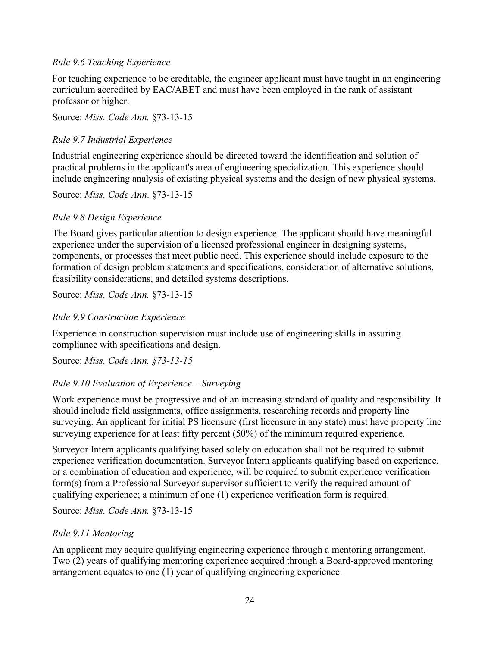## *Rule 9.6 Teaching Experience*

For teaching experience to be creditable, the engineer applicant must have taught in an engineering curriculum accredited by EAC/ABET and must have been employed in the rank of assistant professor or higher.

Source: *Miss. Code Ann.* §73-13-15

# *Rule 9.7 Industrial Experience*

Industrial engineering experience should be directed toward the identification and solution of practical problems in the applicant's area of engineering specialization. This experience should include engineering analysis of existing physical systems and the design of new physical systems.

Source: *Miss. Code Ann*. §73-13-15

# *Rule 9.8 Design Experience*

The Board gives particular attention to design experience. The applicant should have meaningful experience under the supervision of a licensed professional engineer in designing systems, components, or processes that meet public need. This experience should include exposure to the formation of design problem statements and specifications, consideration of alternative solutions, feasibility considerations, and detailed systems descriptions.

# Source: *Miss. Code Ann.* §73-13-15

# *Rule 9.9 Construction Experience*

Experience in construction supervision must include use of engineering skills in assuring compliance with specifications and design.

Source: *Miss. Code Ann. §73-13-15*

# *Rule 9.10 Evaluation of Experience – Surveying*

Work experience must be progressive and of an increasing standard of quality and responsibility. It should include field assignments, office assignments, researching records and property line surveying. An applicant for initial PS licensure (first licensure in any state) must have property line surveying experience for at least fifty percent (50%) of the minimum required experience.

Surveyor Intern applicants qualifying based solely on education shall not be required to submit experience verification documentation. Surveyor Intern applicants qualifying based on experience, or a combination of education and experience, will be required to submit experience verification form(s) from a Professional Surveyor supervisor sufficient to verify the required amount of qualifying experience; a minimum of one (1) experience verification form is required.

Source: *Miss. Code Ann.* §73-13-15

# *Rule 9.11 Mentoring*

An applicant may acquire qualifying engineering experience through a mentoring arrangement. Two (2) years of qualifying mentoring experience acquired through a Board-approved mentoring arrangement equates to one (1) year of qualifying engineering experience.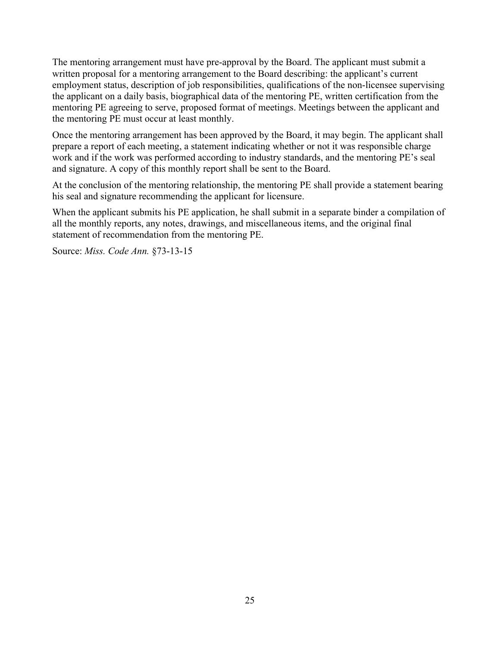The mentoring arrangement must have pre-approval by the Board. The applicant must submit a written proposal for a mentoring arrangement to the Board describing: the applicant's current employment status, description of job responsibilities, qualifications of the non-licensee supervising the applicant on a daily basis, biographical data of the mentoring PE, written certification from the mentoring PE agreeing to serve, proposed format of meetings. Meetings between the applicant and the mentoring PE must occur at least monthly.

Once the mentoring arrangement has been approved by the Board, it may begin. The applicant shall prepare a report of each meeting, a statement indicating whether or not it was responsible charge work and if the work was performed according to industry standards, and the mentoring PE's seal and signature. A copy of this monthly report shall be sent to the Board.

At the conclusion of the mentoring relationship, the mentoring PE shall provide a statement bearing his seal and signature recommending the applicant for licensure.

When the applicant submits his PE application, he shall submit in a separate binder a compilation of all the monthly reports, any notes, drawings, and miscellaneous items, and the original final statement of recommendation from the mentoring PE.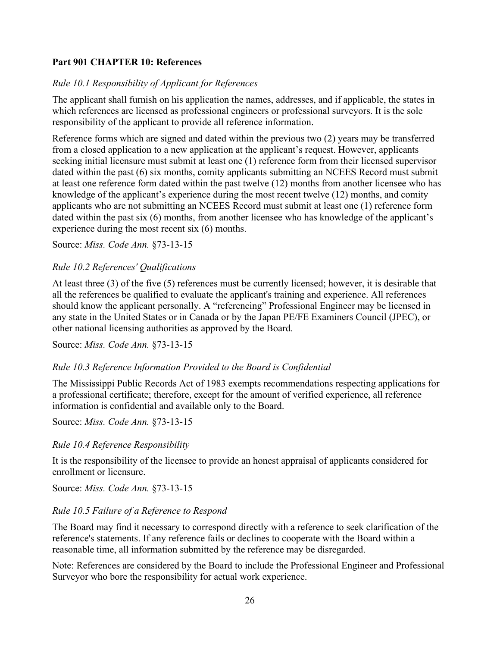# <span id="page-26-0"></span>**Part 901 CHAPTER 10: References**

### *Rule 10.1 Responsibility of Applicant for References*

The applicant shall furnish on his application the names, addresses, and if applicable, the states in which references are licensed as professional engineers or professional surveyors. It is the sole responsibility of the applicant to provide all reference information.

Reference forms which are signed and dated within the previous two (2) years may be transferred from a closed application to a new application at the applicant's request. However, applicants seeking initial licensure must submit at least one (1) reference form from their licensed supervisor dated within the past (6) six months, comity applicants submitting an NCEES Record must submit at least one reference form dated within the past twelve (12) months from another licensee who has knowledge of the applicant's experience during the most recent twelve (12) months, and comity applicants who are not submitting an NCEES Record must submit at least one (1) reference form dated within the past six (6) months, from another licensee who has knowledge of the applicant's experience during the most recent six (6) months.

Source: *Miss. Code Ann.* §73-13-15

### *Rule 10.2 References' Qualifications*

At least three (3) of the five (5) references must be currently licensed; however, it is desirable that all the references be qualified to evaluate the applicant's training and experience. All references should know the applicant personally. A "referencing" Professional Engineer may be licensed in any state in the United States or in Canada or by the Japan PE/FE Examiners Council (JPEC), or other national licensing authorities as approved by the Board.

Source: *Miss. Code Ann.* §73-13-15

### *Rule 10.3 Reference Information Provided to the Board is Confidential*

The Mississippi Public Records Act of 1983 exempts recommendations respecting applications for a professional certificate; therefore, except for the amount of verified experience, all reference information is confidential and available only to the Board.

Source: *Miss. Code Ann.* §73-13-15

### *Rule 10.4 Reference Responsibility*

It is the responsibility of the licensee to provide an honest appraisal of applicants considered for enrollment or licensure.

Source: *Miss. Code Ann.* §73-13-15

### *Rule 10.5 Failure of a Reference to Respond*

The Board may find it necessary to correspond directly with a reference to seek clarification of the reference's statements. If any reference fails or declines to cooperate with the Board within a reasonable time, all information submitted by the reference may be disregarded.

Note: References are considered by the Board to include the Professional Engineer and Professional Surveyor who bore the responsibility for actual work experience.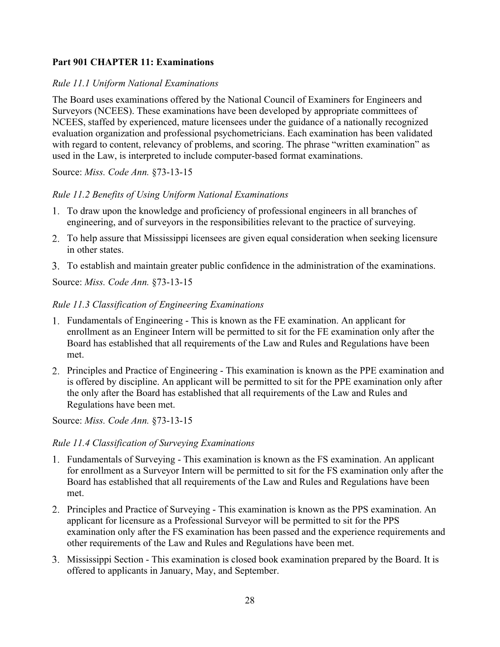# <span id="page-28-0"></span>**Part 901 CHAPTER 11: Examinations**

## *Rule 11.1 Uniform National Examinations*

The Board uses examinations offered by the National Council of Examiners for Engineers and Surveyors (NCEES). These examinations have been developed by appropriate committees of NCEES, staffed by experienced, mature licensees under the guidance of a nationally recognized evaluation organization and professional psychometricians. Each examination has been validated with regard to content, relevancy of problems, and scoring. The phrase "written examination" as used in the Law, is interpreted to include computer-based format examinations.

Source: *Miss. Code Ann.* §73-13-15

## *Rule 11.2 Benefits of Using Uniform National Examinations*

- To draw upon the knowledge and proficiency of professional engineers in all branches of engineering, and of surveyors in the responsibilities relevant to the practice of surveying.
- To help assure that Mississippi licensees are given equal consideration when seeking licensure in other states.
- To establish and maintain greater public confidence in the administration of the examinations.

Source: *Miss. Code Ann.* §73-13-15

## *Rule 11.3 Classification of Engineering Examinations*

- Fundamentals of Engineering This is known as the FE examination. An applicant for enrollment as an Engineer Intern will be permitted to sit for the FE examination only after the Board has established that all requirements of the Law and Rules and Regulations have been met.
- 2. Principles and Practice of Engineering This examination is known as the PPE examination and is offered by discipline. An applicant will be permitted to sit for the PPE examination only after the only after the Board has established that all requirements of the Law and Rules and Regulations have been met.

Source: *Miss. Code Ann.* §73-13-15

### *Rule 11.4 Classification of Surveying Examinations*

- Fundamentals of Surveying This examination is known as the FS examination. An applicant for enrollment as a Surveyor Intern will be permitted to sit for the FS examination only after the Board has established that all requirements of the Law and Rules and Regulations have been met.
- 2. Principles and Practice of Surveying This examination is known as the PPS examination. An applicant for licensure as a Professional Surveyor will be permitted to sit for the PPS examination only after the FS examination has been passed and the experience requirements and other requirements of the Law and Rules and Regulations have been met.
- Mississippi Section This examination is closed book examination prepared by the Board. It is offered to applicants in January, May, and September.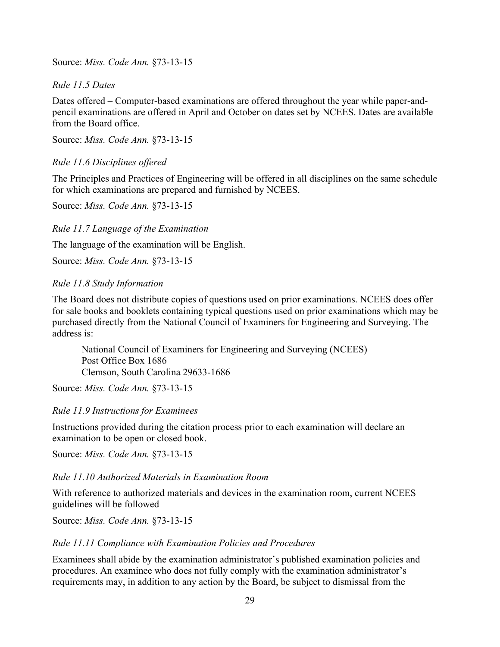Source: *Miss. Code Ann.* §73-13-15

## *Rule 11.5 Dates*

Dates offered – Computer-based examinations are offered throughout the year while paper-andpencil examinations are offered in April and October on dates set by NCEES. Dates are available from the Board office.

Source: *Miss. Code Ann.* §73-13-15

## *Rule 11.6 Disciplines offered*

The Principles and Practices of Engineering will be offered in all disciplines on the same schedule for which examinations are prepared and furnished by NCEES.

Source: *Miss. Code Ann.* §73-13-15

### *Rule 11.7 Language of the Examination*

The language of the examination will be English.

Source: *Miss. Code Ann.* §73-13-15

### *Rule 11.8 Study Information*

The Board does not distribute copies of questions used on prior examinations. NCEES does offer for sale books and booklets containing typical questions used on prior examinations which may be purchased directly from the National Council of Examiners for Engineering and Surveying. The address is:

National Council of Examiners for Engineering and Surveying (NCEES) Post Office Box 1686 Clemson, South Carolina 29633-1686

Source: *Miss. Code Ann.* §73-13-15

### *Rule 11.9 Instructions for Examinees*

Instructions provided during the citation process prior to each examination will declare an examination to be open or closed book.

Source: *Miss. Code Ann.* §73-13-15

### *Rule 11.10 Authorized Materials in Examination Room*

With reference to authorized materials and devices in the examination room, current NCEES guidelines will be followed

Source: *Miss. Code Ann.* §73-13-15

### *Rule 11.11 Compliance with Examination Policies and Procedures*

Examinees shall abide by the examination administrator's published examination policies and procedures. An examinee who does not fully comply with the examination administrator's requirements may, in addition to any action by the Board, be subject to dismissal from the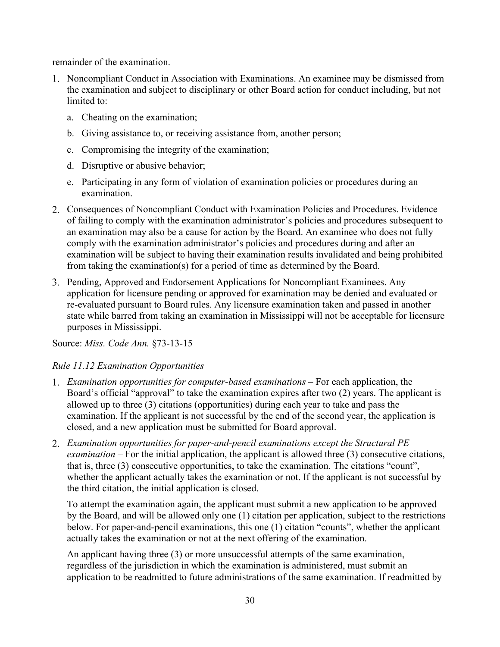remainder of the examination.

- 1. Noncompliant Conduct in Association with Examinations. An examinee may be dismissed from the examination and subject to disciplinary or other Board action for conduct including, but not limited to:
	- a. Cheating on the examination;
	- b. Giving assistance to, or receiving assistance from, another person;
	- c. Compromising the integrity of the examination;
	- d. Disruptive or abusive behavior;
	- e. Participating in any form of violation of examination policies or procedures during an examination.
- Consequences of Noncompliant Conduct with Examination Policies and Procedures. Evidence of failing to comply with the examination administrator's policies and procedures subsequent to an examination may also be a cause for action by the Board. An examinee who does not fully comply with the examination administrator's policies and procedures during and after an examination will be subject to having their examination results invalidated and being prohibited from taking the examination(s) for a period of time as determined by the Board.
- 3. Pending, Approved and Endorsement Applications for Noncompliant Examinees. Any application for licensure pending or approved for examination may be denied and evaluated or re-evaluated pursuant to Board rules. Any licensure examination taken and passed in another state while barred from taking an examination in Mississippi will not be acceptable for licensure purposes in Mississippi.

Source: *Miss. Code Ann.* §73-13-15

# *Rule 11.12 Examination Opportunities*

- *Examination opportunities for computer-based examinations –* For each application, the Board's official "approval" to take the examination expires after two (2) years. The applicant is allowed up to three (3) citations (opportunities) during each year to take and pass the examination. If the applicant is not successful by the end of the second year, the application is closed, and a new application must be submitted for Board approval.
- *Examination opportunities for paper-and-pencil examinations except the Structural PE examination* – For the initial application, the applicant is allowed three (3) consecutive citations, that is, three (3) consecutive opportunities, to take the examination. The citations "count", whether the applicant actually takes the examination or not. If the applicant is not successful by the third citation, the initial application is closed.

To attempt the examination again, the applicant must submit a new application to be approved by the Board, and will be allowed only one (1) citation per application, subject to the restrictions below. For paper-and-pencil examinations, this one (1) citation "counts", whether the applicant actually takes the examination or not at the next offering of the examination.

An applicant having three (3) or more unsuccessful attempts of the same examination, regardless of the jurisdiction in which the examination is administered, must submit an application to be readmitted to future administrations of the same examination. If readmitted by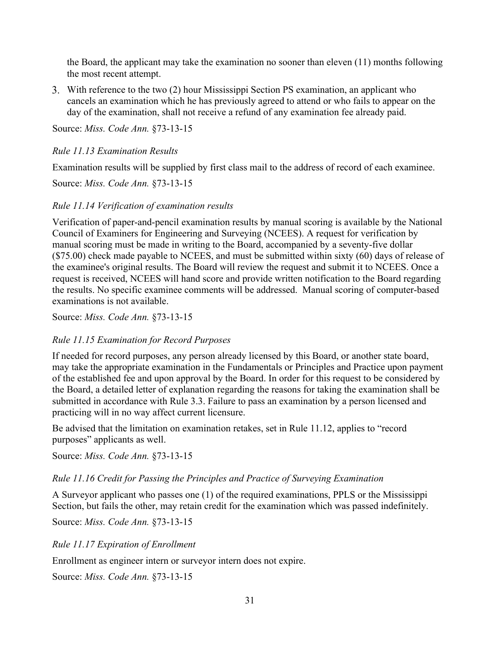the Board, the applicant may take the examination no sooner than eleven (11) months following the most recent attempt.

With reference to the two (2) hour Mississippi Section PS examination, an applicant who cancels an examination which he has previously agreed to attend or who fails to appear on the day of the examination, shall not receive a refund of any examination fee already paid.

Source: *Miss. Code Ann.* §73-13-15

### *Rule 11.13 Examination Results*

Examination results will be supplied by first class mail to the address of record of each examinee.

Source: *Miss. Code Ann.* §73-13-15

### *Rule 11.14 Verification of examination results*

Verification of paper-and-pencil examination results by manual scoring is available by the National Council of Examiners for Engineering and Surveying (NCEES). A request for verification by manual scoring must be made in writing to the Board, accompanied by a seventy-five dollar (\$75.00) check made payable to NCEES, and must be submitted within sixty (60) days of release of the examinee's original results. The Board will review the request and submit it to NCEES. Once a request is received, NCEES will hand score and provide written notification to the Board regarding the results. No specific examinee comments will be addressed. Manual scoring of computer-based examinations is not available.

Source: *Miss. Code Ann.* §73-13-15

### *Rule 11.15 Examination for Record Purposes*

If needed for record purposes, any person already licensed by this Board, or another state board, may take the appropriate examination in the Fundamentals or Principles and Practice upon payment of the established fee and upon approval by the Board. In order for this request to be considered by the Board, a detailed letter of explanation regarding the reasons for taking the examination shall be submitted in accordance with Rule 3.3. Failure to pass an examination by a person licensed and practicing will in no way affect current licensure.

Be advised that the limitation on examination retakes, set in Rule 11.12, applies to "record purposes" applicants as well.

Source: *Miss. Code Ann.* §73-13-15

### *Rule 11.16 Credit for Passing the Principles and Practice of Surveying Examination*

A Surveyor applicant who passes one (1) of the required examinations, PPLS or the Mississippi Section, but fails the other, may retain credit for the examination which was passed indefinitely.

Source: *Miss. Code Ann.* §73-13-15

### *Rule 11.17 Expiration of Enrollment*

Enrollment as engineer intern or surveyor intern does not expire.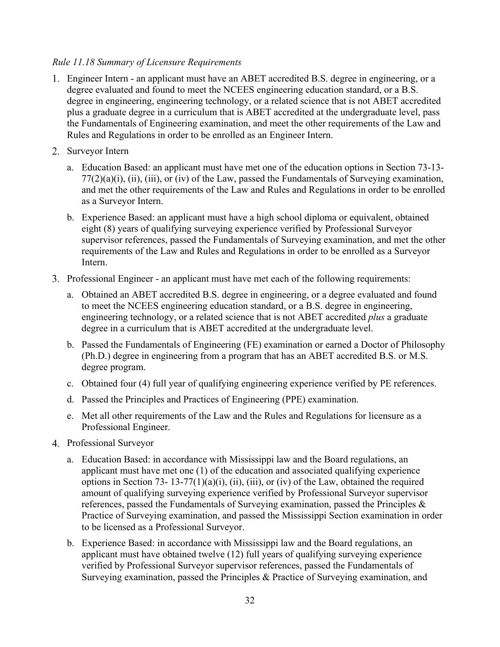# *Rule 11.18 Summary of Licensure Requirements*

- Engineer Intern an applicant must have an ABET accredited B.S. degree in engineering, or a degree evaluated and found to meet the NCEES engineering education standard, or a B.S. degree in engineering, engineering technology, or a related science that is not ABET accredited plus a graduate degree in a curriculum that is ABET accredited at the undergraduate level, pass the Fundamentals of Engineering examination, and meet the other requirements of the Law and Rules and Regulations in order to be enrolled as an Engineer Intern.
- 2. Surveyor Intern
	- a. Education Based: an applicant must have met one of the education options in Section 73-13-  $77(2)(a)(i)$ , (ii), (iii), or (iv) of the Law, passed the Fundamentals of Surveying examination, and met the other requirements of the Law and Rules and Regulations in order to be enrolled as a Surveyor Intern.
	- b. Experience Based: an applicant must have a high school diploma or equivalent, obtained eight (8) years of qualifying surveying experience verified by Professional Surveyor supervisor references, passed the Fundamentals of Surveying examination, and met the other requirements of the Law and Rules and Regulations in order to be enrolled as a Surveyor Intern.
- 3. Professional Engineer an applicant must have met each of the following requirements:
	- a. Obtained an ABET accredited B.S. degree in engineering, or a degree evaluated and found to meet the NCEES engineering education standard, or a B.S. degree in engineering, engineering technology, or a related science that is not ABET accredited *plus* a graduate degree in a curriculum that is ABET accredited at the undergraduate level.
	- b. Passed the Fundamentals of Engineering (FE) examination or earned a Doctor of Philosophy (Ph.D.) degree in engineering from a program that has an ABET accredited B.S. or M.S. degree program.
	- c. Obtained four (4) full year of qualifying engineering experience verified by PE references.
	- d. Passed the Principles and Practices of Engineering (PPE) examination.
	- e. Met all other requirements of the Law and the Rules and Regulations for licensure as a Professional Engineer.
- Professional Surveyor
	- a. Education Based: in accordance with Mississippi law and the Board regulations, an applicant must have met one (1) of the education and associated qualifying experience options in Section 73- 13-77(1)(a)(i), (ii), (iii), or (iv) of the Law, obtained the required amount of qualifying surveying experience verified by Professional Surveyor supervisor references, passed the Fundamentals of Surveying examination, passed the Principles & Practice of Surveying examination, and passed the Mississippi Section examination in order to be licensed as a Professional Surveyor.
	- b. Experience Based: in accordance with Mississippi law and the Board regulations, an applicant must have obtained twelve (12) full years of qualifying surveying experience verified by Professional Surveyor supervisor references, passed the Fundamentals of Surveying examination, passed the Principles & Practice of Surveying examination, and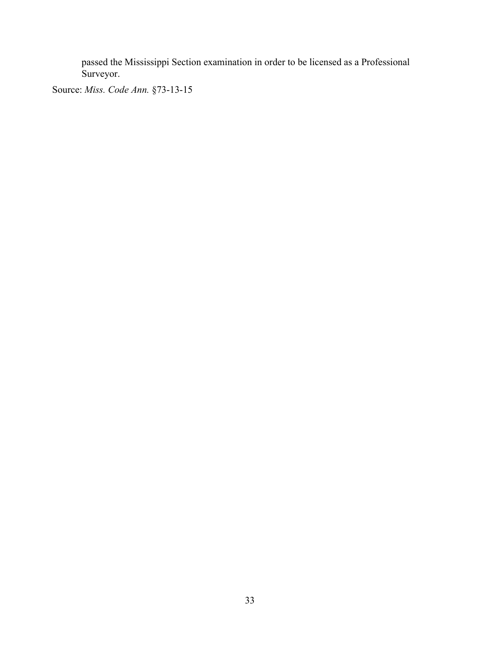passed the Mississippi Section examination in order to be licensed as a Professional Surveyor.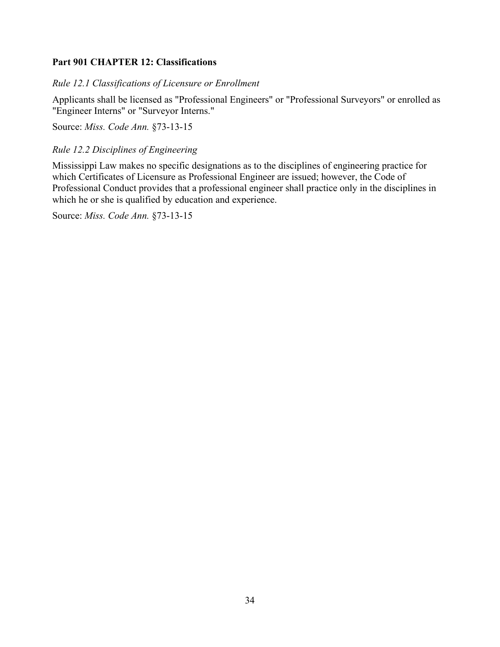# <span id="page-34-0"></span>**Part 901 CHAPTER 12: Classifications**

*Rule 12.1 Classifications of Licensure or Enrollment*

Applicants shall be licensed as "Professional Engineers" or "Professional Surveyors" or enrolled as "Engineer Interns" or "Surveyor Interns."

Source: *Miss. Code Ann.* §73-13-15

*Rule 12.2 Disciplines of Engineering*

Mississippi Law makes no specific designations as to the disciplines of engineering practice for which Certificates of Licensure as Professional Engineer are issued; however, the Code of Professional Conduct provides that a professional engineer shall practice only in the disciplines in which he or she is qualified by education and experience.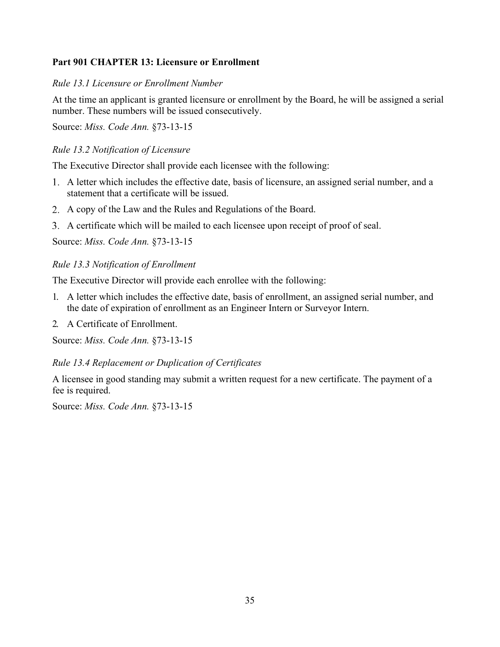# <span id="page-35-0"></span>**Part 901 CHAPTER 13: Licensure or Enrollment**

## *Rule 13.1 Licensure or Enrollment Number*

At the time an applicant is granted licensure or enrollment by the Board, he will be assigned a serial number. These numbers will be issued consecutively.

Source: *Miss. Code Ann.* §73-13-15

# *Rule 13.2 Notification of Licensure*

The Executive Director shall provide each licensee with the following:

- A letter which includes the effective date, basis of licensure, an assigned serial number, and a statement that a certificate will be issued.
- A copy of the Law and the Rules and Regulations of the Board.
- A certificate which will be mailed to each licensee upon receipt of proof of seal.

Source: *Miss. Code Ann.* §73-13-15

# *Rule 13.3 Notification of Enrollment*

The Executive Director will provide each enrollee with the following:

- 1. A letter which includes the effective date, basis of enrollment, an assigned serial number, and the date of expiration of enrollment as an Engineer Intern or Surveyor Intern.
- 2. A Certificate of Enrollment.

Source: *Miss. Code Ann.* §73-13-15

*Rule 13.4 Replacement or Duplication of Certificates*

A licensee in good standing may submit a written request for a new certificate. The payment of a fee is required.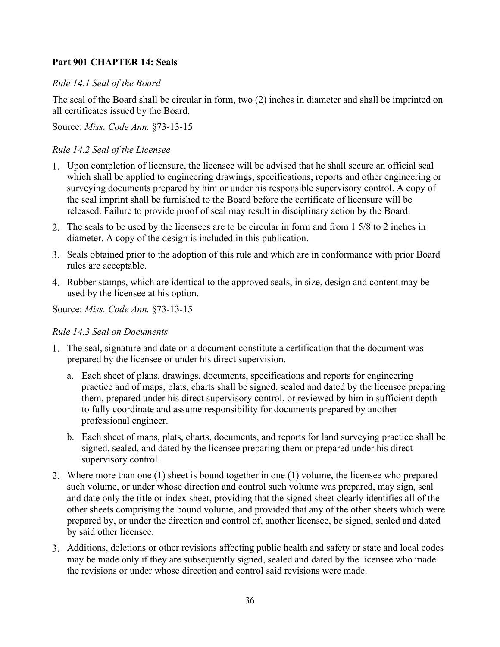# <span id="page-36-0"></span>**Part 901 CHAPTER 14: Seals**

# *Rule 14.1 Seal of the Board*

The seal of the Board shall be circular in form, two (2) inches in diameter and shall be imprinted on all certificates issued by the Board.

Source: *Miss. Code Ann.* §73-13-15

## *Rule 14.2 Seal of the Licensee*

- Upon completion of licensure, the licensee will be advised that he shall secure an official seal which shall be applied to engineering drawings, specifications, reports and other engineering or surveying documents prepared by him or under his responsible supervisory control. A copy of the seal imprint shall be furnished to the Board before the certificate of licensure will be released. Failure to provide proof of seal may result in disciplinary action by the Board.
- The seals to be used by the licensees are to be circular in form and from 1 5/8 to 2 inches in diameter. A copy of the design is included in this publication.
- Seals obtained prior to the adoption of this rule and which are in conformance with prior Board rules are acceptable.
- 4. Rubber stamps, which are identical to the approved seals, in size, design and content may be used by the licensee at his option.

Source: *Miss. Code Ann.* §73-13-15

# *Rule 14.3 Seal on Documents*

- The seal, signature and date on a document constitute a certification that the document was prepared by the licensee or under his direct supervision.
	- a. Each sheet of plans, drawings, documents, specifications and reports for engineering practice and of maps, plats, charts shall be signed, sealed and dated by the licensee preparing them, prepared under his direct supervisory control, or reviewed by him in sufficient depth to fully coordinate and assume responsibility for documents prepared by another professional engineer.
	- b. Each sheet of maps, plats, charts, documents, and reports for land surveying practice shall be signed, sealed, and dated by the licensee preparing them or prepared under his direct supervisory control.
- Where more than one (1) sheet is bound together in one (1) volume, the licensee who prepared such volume, or under whose direction and control such volume was prepared, may sign, seal and date only the title or index sheet, providing that the signed sheet clearly identifies all of the other sheets comprising the bound volume, and provided that any of the other sheets which were prepared by, or under the direction and control of, another licensee, be signed, sealed and dated by said other licensee.
- Additions, deletions or other revisions affecting public health and safety or state and local codes may be made only if they are subsequently signed, sealed and dated by the licensee who made the revisions or under whose direction and control said revisions were made.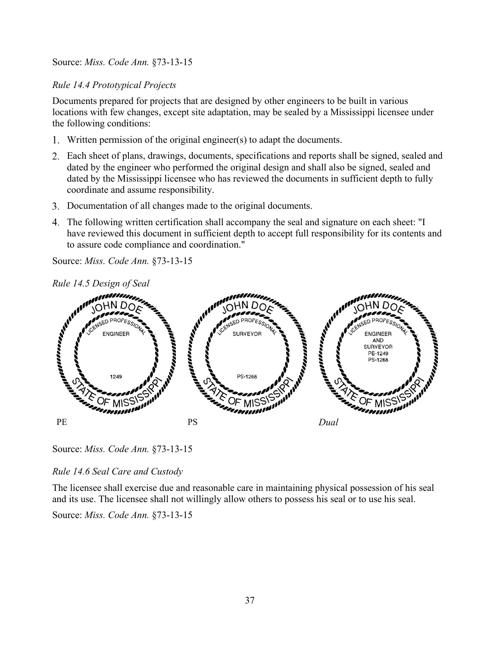Source: *Miss. Code Ann.* §73-13-15

# *Rule 14.4 Prototypical Projects*

Documents prepared for projects that are designed by other engineers to be built in various locations with few changes, except site adaptation, may be sealed by a Mississippi licensee under the following conditions:

- Written permission of the original engineer(s) to adapt the documents.
- Each sheet of plans, drawings, documents, specifications and reports shall be signed, sealed and dated by the engineer who performed the original design and shall also be signed, sealed and dated by the Mississippi licensee who has reviewed the documents in sufficient depth to fully coordinate and assume responsibility.
- Documentation of all changes made to the original documents.
- The following written certification shall accompany the seal and signature on each sheet: "I have reviewed this document in sufficient depth to accept full responsibility for its contents and to assure code compliance and coordination."

Source: *Miss. Code Ann.* §73-13-15



*Rule 14.5 Design of Seal*

Source: *Miss. Code Ann.* §73-13-15

*Rule 14.6 Seal Care and Custody*

The licensee shall exercise due and reasonable care in maintaining physical possession of his seal and its use. The licensee shall not willingly allow others to possess his seal or to use his seal.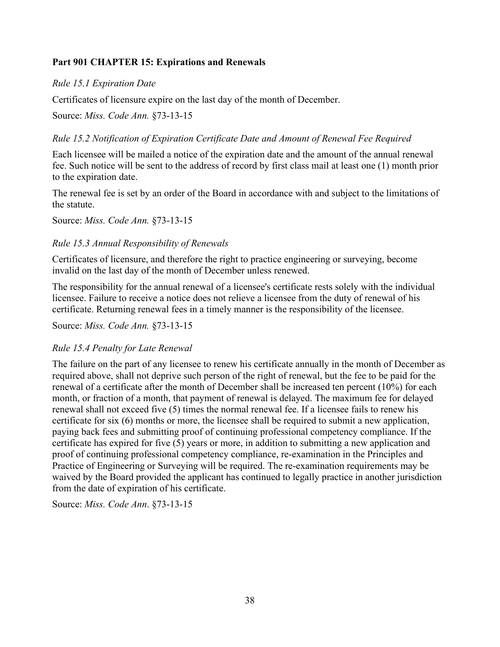# <span id="page-38-0"></span>**Part 901 CHAPTER 15: Expirations and Renewals**

# *Rule 15.1 Expiration Date*

Certificates of licensure expire on the last day of the month of December.

Source: *Miss. Code Ann.* §73-13-15

# *Rule 15.2 Notification of Expiration Certificate Date and Amount of Renewal Fee Required*

Each licensee will be mailed a notice of the expiration date and the amount of the annual renewal fee. Such notice will be sent to the address of record by first class mail at least one (1) month prior to the expiration date.

The renewal fee is set by an order of the Board in accordance with and subject to the limitations of the statute.

Source: *Miss. Code Ann.* §73-13-15

# *Rule 15.3 Annual Responsibility of Renewals*

Certificates of licensure, and therefore the right to practice engineering or surveying, become invalid on the last day of the month of December unless renewed.

The responsibility for the annual renewal of a licensee's certificate rests solely with the individual licensee. Failure to receive a notice does not relieve a licensee from the duty of renewal of his certificate. Returning renewal fees in a timely manner is the responsibility of the licensee.

Source: *Miss. Code Ann.* §73-13-15

# *Rule 15.4 Penalty for Late Renewal*

The failure on the part of any licensee to renew his certificate annually in the month of December as required above, shall not deprive such person of the right of renewal, but the fee to be paid for the renewal of a certificate after the month of December shall be increased ten percent (10%) for each month, or fraction of a month, that payment of renewal is delayed. The maximum fee for delayed renewal shall not exceed five (5) times the normal renewal fee. If a licensee fails to renew his certificate for six (6) months or more, the licensee shall be required to submit a new application, paying back fees and submitting proof of continuing professional competency compliance. If the certificate has expired for five (5) years or more, in addition to submitting a new application and proof of continuing professional competency compliance, re-examination in the Principles and Practice of Engineering or Surveying will be required. The re-examination requirements may be waived by the Board provided the applicant has continued to legally practice in another jurisdiction from the date of expiration of his certificate.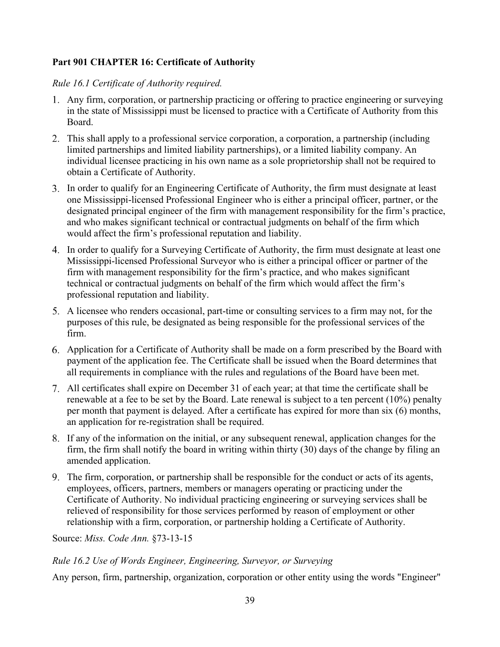# <span id="page-39-0"></span>**Part 901 CHAPTER 16: Certificate of Authority**

# *Rule 16.1 Certificate of Authority required.*

- Any firm, corporation, or partnership practicing or offering to practice engineering or surveying in the state of Mississippi must be licensed to practice with a Certificate of Authority from this Board.
- This shall apply to a professional service corporation, a corporation, a partnership (including limited partnerships and limited liability partnerships), or a limited liability company. An individual licensee practicing in his own name as a sole proprietorship shall not be required to obtain a Certificate of Authority.
- In order to qualify for an Engineering Certificate of Authority, the firm must designate at least one Mississippi-licensed Professional Engineer who is either a principal officer, partner, or the designated principal engineer of the firm with management responsibility for the firm's practice, and who makes significant technical or contractual judgments on behalf of the firm which would affect the firm's professional reputation and liability.
- In order to qualify for a Surveying Certificate of Authority, the firm must designate at least one Mississippi-licensed Professional Surveyor who is either a principal officer or partner of the firm with management responsibility for the firm's practice, and who makes significant technical or contractual judgments on behalf of the firm which would affect the firm's professional reputation and liability.
- A licensee who renders occasional, part-time or consulting services to a firm may not, for the purposes of this rule, be designated as being responsible for the professional services of the firm.
- Application for a Certificate of Authority shall be made on a form prescribed by the Board with payment of the application fee. The Certificate shall be issued when the Board determines that all requirements in compliance with the rules and regulations of the Board have been met.
- All certificates shall expire on December 31 of each year; at that time the certificate shall be renewable at a fee to be set by the Board. Late renewal is subject to a ten percent (10%) penalty per month that payment is delayed. After a certificate has expired for more than six (6) months, an application for re-registration shall be required.
- If any of the information on the initial, or any subsequent renewal, application changes for the firm, the firm shall notify the board in writing within thirty (30) days of the change by filing an amended application.
- The firm, corporation, or partnership shall be responsible for the conduct or acts of its agents, employees, officers, partners, members or managers operating or practicing under the Certificate of Authority. No individual practicing engineering or surveying services shall be relieved of responsibility for those services performed by reason of employment or other relationship with a firm, corporation, or partnership holding a Certificate of Authority.

Source: *Miss. Code Ann.* §73-13-15

# *Rule 16.2 Use of Words Engineer, Engineering, Surveyor, or Surveying*

Any person, firm, partnership, organization, corporation or other entity using the words "Engineer"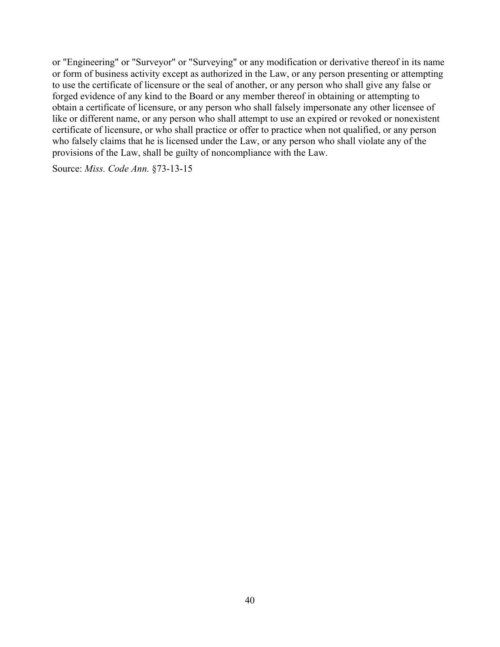or "Engineering" or "Surveyor" or "Surveying" or any modification or derivative thereof in its name or form of business activity except as authorized in the Law, or any person presenting or attempting to use the certificate of licensure or the seal of another, or any person who shall give any false or forged evidence of any kind to the Board or any member thereof in obtaining or attempting to obtain a certificate of licensure, or any person who shall falsely impersonate any other licensee of like or different name, or any person who shall attempt to use an expired or revoked or nonexistent certificate of licensure, or who shall practice or offer to practice when not qualified, or any person who falsely claims that he is licensed under the Law, or any person who shall violate any of the provisions of the Law, shall be guilty of noncompliance with the Law.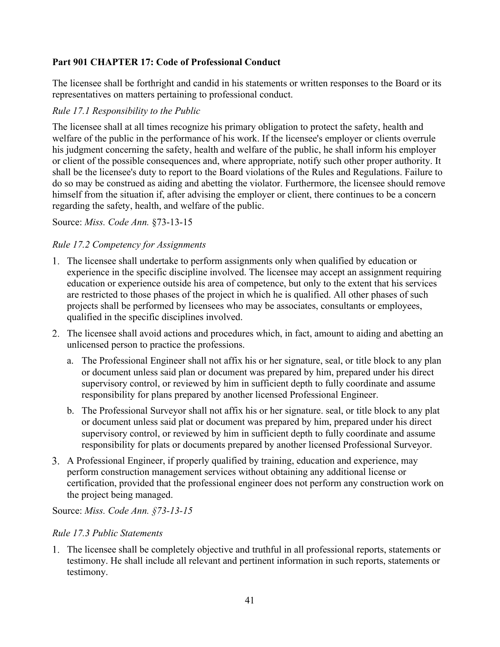# <span id="page-41-0"></span>**Part 901 CHAPTER 17: Code of Professional Conduct**

The licensee shall be forthright and candid in his statements or written responses to the Board or its representatives on matters pertaining to professional conduct.

# *Rule 17.1 Responsibility to the Public*

The licensee shall at all times recognize his primary obligation to protect the safety, health and welfare of the public in the performance of his work. If the licensee's employer or clients overrule his judgment concerning the safety, health and welfare of the public, he shall inform his employer or client of the possible consequences and, where appropriate, notify such other proper authority. It shall be the licensee's duty to report to the Board violations of the Rules and Regulations. Failure to do so may be construed as aiding and abetting the violator. Furthermore, the licensee should remove himself from the situation if, after advising the employer or client, there continues to be a concern regarding the safety, health, and welfare of the public.

Source: *Miss. Code Ann.* §73-13-15

# *Rule 17.2 Competency for Assignments*

- The licensee shall undertake to perform assignments only when qualified by education or experience in the specific discipline involved. The licensee may accept an assignment requiring education or experience outside his area of competence, but only to the extent that his services are restricted to those phases of the project in which he is qualified. All other phases of such projects shall be performed by licensees who may be associates, consultants or employees, qualified in the specific disciplines involved.
- The licensee shall avoid actions and procedures which, in fact, amount to aiding and abetting an unlicensed person to practice the professions.
	- a. The Professional Engineer shall not affix his or her signature, seal, or title block to any plan or document unless said plan or document was prepared by him, prepared under his direct supervisory control, or reviewed by him in sufficient depth to fully coordinate and assume responsibility for plans prepared by another licensed Professional Engineer.
	- b. The Professional Surveyor shall not affix his or her signature. seal, or title block to any plat or document unless said plat or document was prepared by him, prepared under his direct supervisory control, or reviewed by him in sufficient depth to fully coordinate and assume responsibility for plats or documents prepared by another licensed Professional Surveyor.
- A Professional Engineer, if properly qualified by training, education and experience, may perform construction management services without obtaining any additional license or certification, provided that the professional engineer does not perform any construction work on the project being managed.

### Source: *Miss. Code Ann. §73-13-15*

### *Rule 17.3 Public Statements*

The licensee shall be completely objective and truthful in all professional reports, statements or testimony. He shall include all relevant and pertinent information in such reports, statements or testimony.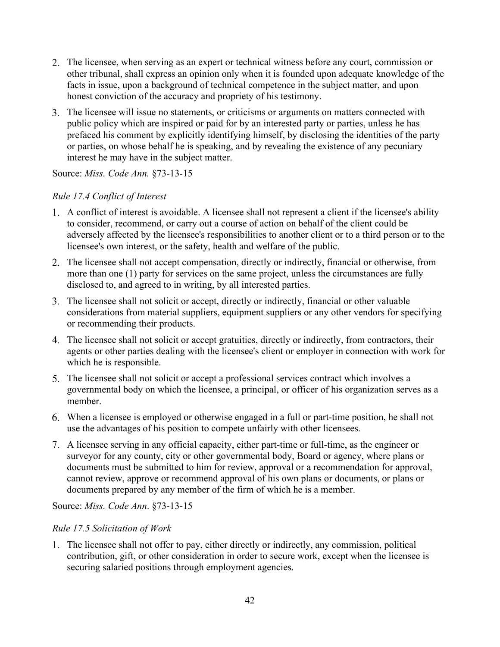- The licensee, when serving as an expert or technical witness before any court, commission or other tribunal, shall express an opinion only when it is founded upon adequate knowledge of the facts in issue, upon a background of technical competence in the subject matter, and upon honest conviction of the accuracy and propriety of his testimony.
- The licensee will issue no statements, or criticisms or arguments on matters connected with public policy which are inspired or paid for by an interested party or parties, unless he has prefaced his comment by explicitly identifying himself, by disclosing the identities of the party or parties, on whose behalf he is speaking, and by revealing the existence of any pecuniary interest he may have in the subject matter.

Source: *Miss. Code Ann.* §73-13-15

## *Rule 17.4 Conflict of Interest*

- A conflict of interest is avoidable. A licensee shall not represent a client if the licensee's ability to consider, recommend, or carry out a course of action on behalf of the client could be adversely affected by the licensee's responsibilities to another client or to a third person or to the licensee's own interest, or the safety, health and welfare of the public.
- The licensee shall not accept compensation, directly or indirectly, financial or otherwise, from more than one (1) party for services on the same project, unless the circumstances are fully disclosed to, and agreed to in writing, by all interested parties.
- The licensee shall not solicit or accept, directly or indirectly, financial or other valuable considerations from material suppliers, equipment suppliers or any other vendors for specifying or recommending their products.
- The licensee shall not solicit or accept gratuities, directly or indirectly, from contractors, their agents or other parties dealing with the licensee's client or employer in connection with work for which he is responsible.
- The licensee shall not solicit or accept a professional services contract which involves a governmental body on which the licensee, a principal, or officer of his organization serves as a member.
- When a licensee is employed or otherwise engaged in a full or part-time position, he shall not use the advantages of his position to compete unfairly with other licensees.
- A licensee serving in any official capacity, either part-time or full-time, as the engineer or surveyor for any county, city or other governmental body, Board or agency, where plans or documents must be submitted to him for review, approval or a recommendation for approval, cannot review, approve or recommend approval of his own plans or documents, or plans or documents prepared by any member of the firm of which he is a member.

Source: *Miss. Code Ann*. §73-13-15

### *Rule 17.5 Solicitation of Work*

The licensee shall not offer to pay, either directly or indirectly, any commission, political contribution, gift, or other consideration in order to secure work, except when the licensee is securing salaried positions through employment agencies.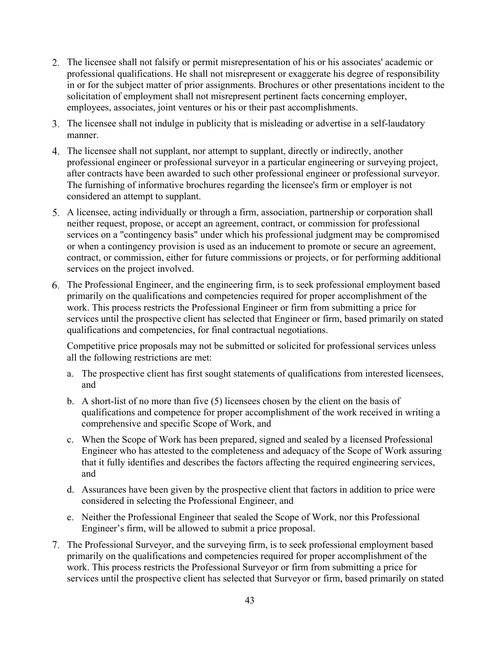- The licensee shall not falsify or permit misrepresentation of his or his associates' academic or professional qualifications. He shall not misrepresent or exaggerate his degree of responsibility in or for the subject matter of prior assignments. Brochures or other presentations incident to the solicitation of employment shall not misrepresent pertinent facts concerning employer, employees, associates, joint ventures or his or their past accomplishments.
- The licensee shall not indulge in publicity that is misleading or advertise in a self-laudatory manner.
- The licensee shall not supplant, nor attempt to supplant, directly or indirectly, another professional engineer or professional surveyor in a particular engineering or surveying project, after contracts have been awarded to such other professional engineer or professional surveyor. The furnishing of informative brochures regarding the licensee's firm or employer is not considered an attempt to supplant.
- A licensee, acting individually or through a firm, association, partnership or corporation shall neither request, propose, or accept an agreement, contract, or commission for professional services on a "contingency basis" under which his professional judgment may be compromised or when a contingency provision is used as an inducement to promote or secure an agreement, contract, or commission, either for future commissions or projects, or for performing additional services on the project involved.
- The Professional Engineer, and the engineering firm, is to seek professional employment based primarily on the qualifications and competencies required for proper accomplishment of the work. This process restricts the Professional Engineer or firm from submitting a price for services until the prospective client has selected that Engineer or firm, based primarily on stated qualifications and competencies, for final contractual negotiations.

Competitive price proposals may not be submitted or solicited for professional services unless all the following restrictions are met:

- a. The prospective client has first sought statements of qualifications from interested licensees, and
- b. A short-list of no more than five (5) licensees chosen by the client on the basis of qualifications and competence for proper accomplishment of the work received in writing a comprehensive and specific Scope of Work, and
- c. When the Scope of Work has been prepared, signed and sealed by a licensed Professional Engineer who has attested to the completeness and adequacy of the Scope of Work assuring that it fully identifies and describes the factors affecting the required engineering services, and
- d. Assurances have been given by the prospective client that factors in addition to price were considered in selecting the Professional Engineer, and
- e. Neither the Professional Engineer that sealed the Scope of Work, nor this Professional Engineer's firm, will be allowed to submit a price proposal.
- The Professional Surveyor, and the surveying firm, is to seek professional employment based primarily on the qualifications and competencies required for proper accomplishment of the work. This process restricts the Professional Surveyor or firm from submitting a price for services until the prospective client has selected that Surveyor or firm, based primarily on stated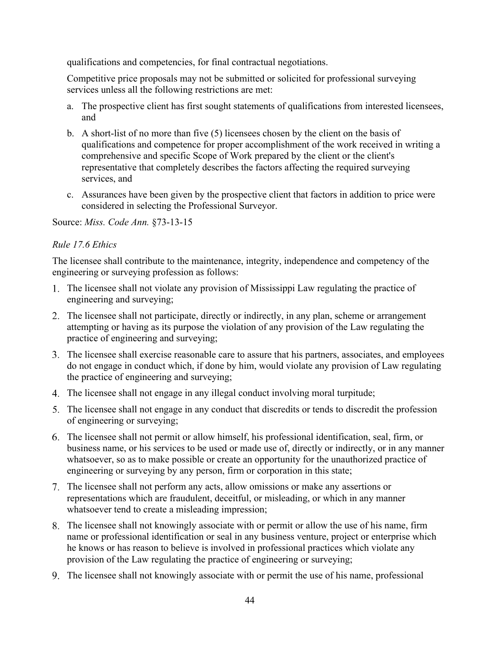qualifications and competencies, for final contractual negotiations.

Competitive price proposals may not be submitted or solicited for professional surveying services unless all the following restrictions are met:

- a. The prospective client has first sought statements of qualifications from interested licensees, and
- b. A short-list of no more than five (5) licensees chosen by the client on the basis of qualifications and competence for proper accomplishment of the work received in writing a comprehensive and specific Scope of Work prepared by the client or the client's representative that completely describes the factors affecting the required surveying services, and
- c. Assurances have been given by the prospective client that factors in addition to price were considered in selecting the Professional Surveyor.

Source: *Miss. Code Ann.* §73-13-15

# *Rule 17.6 Ethics*

The licensee shall contribute to the maintenance, integrity, independence and competency of the engineering or surveying profession as follows:

- The licensee shall not violate any provision of Mississippi Law regulating the practice of engineering and surveying;
- 2. The licensee shall not participate, directly or indirectly, in any plan, scheme or arrangement attempting or having as its purpose the violation of any provision of the Law regulating the practice of engineering and surveying;
- The licensee shall exercise reasonable care to assure that his partners, associates, and employees do not engage in conduct which, if done by him, would violate any provision of Law regulating the practice of engineering and surveying;
- The licensee shall not engage in any illegal conduct involving moral turpitude;
- The licensee shall not engage in any conduct that discredits or tends to discredit the profession of engineering or surveying;
- The licensee shall not permit or allow himself, his professional identification, seal, firm, or business name, or his services to be used or made use of, directly or indirectly, or in any manner whatsoever, so as to make possible or create an opportunity for the unauthorized practice of engineering or surveying by any person, firm or corporation in this state;
- The licensee shall not perform any acts, allow omissions or make any assertions or representations which are fraudulent, deceitful, or misleading, or which in any manner whatsoever tend to create a misleading impression;
- The licensee shall not knowingly associate with or permit or allow the use of his name, firm name or professional identification or seal in any business venture, project or enterprise which he knows or has reason to believe is involved in professional practices which violate any provision of the Law regulating the practice of engineering or surveying;
- The licensee shall not knowingly associate with or permit the use of his name, professional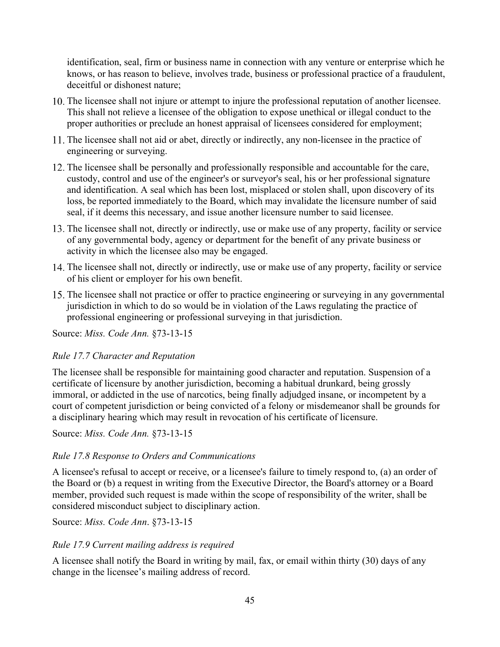identification, seal, firm or business name in connection with any venture or enterprise which he knows, or has reason to believe, involves trade, business or professional practice of a fraudulent, deceitful or dishonest nature;

- The licensee shall not injure or attempt to injure the professional reputation of another licensee. This shall not relieve a licensee of the obligation to expose unethical or illegal conduct to the proper authorities or preclude an honest appraisal of licensees considered for employment;
- The licensee shall not aid or abet, directly or indirectly, any non-licensee in the practice of engineering or surveying.
- The licensee shall be personally and professionally responsible and accountable for the care, custody, control and use of the engineer's or surveyor's seal, his or her professional signature and identification. A seal which has been lost, misplaced or stolen shall, upon discovery of its loss, be reported immediately to the Board, which may invalidate the licensure number of said seal, if it deems this necessary, and issue another licensure number to said licensee.
- The licensee shall not, directly or indirectly, use or make use of any property, facility or service of any governmental body, agency or department for the benefit of any private business or activity in which the licensee also may be engaged.
- 14. The licensee shall not, directly or indirectly, use or make use of any property, facility or service of his client or employer for his own benefit.
- The licensee shall not practice or offer to practice engineering or surveying in any governmental jurisdiction in which to do so would be in violation of the Laws regulating the practice of professional engineering or professional surveying in that jurisdiction.

Source: *Miss. Code Ann.* §73-13-15

### *Rule 17.7 Character and Reputation*

The licensee shall be responsible for maintaining good character and reputation. Suspension of a certificate of licensure by another jurisdiction, becoming a habitual drunkard, being grossly immoral, or addicted in the use of narcotics, being finally adjudged insane, or incompetent by a court of competent jurisdiction or being convicted of a felony or misdemeanor shall be grounds for a disciplinary hearing which may result in revocation of his certificate of licensure.

Source: *Miss. Code Ann.* §73-13-15

### *Rule 17.8 Response to Orders and Communications*

A licensee's refusal to accept or receive, or a licensee's failure to timely respond to, (a) an order of the Board or (b) a request in writing from the Executive Director, the Board's attorney or a Board member, provided such request is made within the scope of responsibility of the writer, shall be considered misconduct subject to disciplinary action.

Source: *Miss. Code Ann*. §73-13-15

# *Rule 17.9 Current mailing address is required*

A licensee shall notify the Board in writing by mail, fax, or email within thirty (30) days of any change in the licensee's mailing address of record.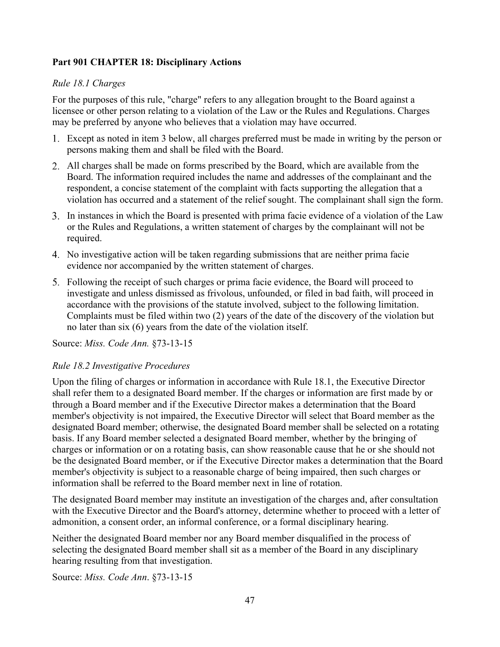# <span id="page-47-0"></span>**Part 901 CHAPTER 18: Disciplinary Actions**

# *Rule 18.1 Charges*

For the purposes of this rule, "charge" refers to any allegation brought to the Board against a licensee or other person relating to a violation of the Law or the Rules and Regulations. Charges may be preferred by anyone who believes that a violation may have occurred.

- Except as noted in item 3 below, all charges preferred must be made in writing by the person or persons making them and shall be filed with the Board.
- All charges shall be made on forms prescribed by the Board, which are available from the Board. The information required includes the name and addresses of the complainant and the respondent, a concise statement of the complaint with facts supporting the allegation that a violation has occurred and a statement of the relief sought. The complainant shall sign the form.
- In instances in which the Board is presented with prima facie evidence of a violation of the Law or the Rules and Regulations, a written statement of charges by the complainant will not be required.
- No investigative action will be taken regarding submissions that are neither prima facie evidence nor accompanied by the written statement of charges.
- Following the receipt of such charges or prima facie evidence, the Board will proceed to investigate and unless dismissed as frivolous, unfounded, or filed in bad faith, will proceed in accordance with the provisions of the statute involved, subject to the following limitation. Complaints must be filed within two (2) years of the date of the discovery of the violation but no later than six (6) years from the date of the violation itself.

Source: *Miss. Code Ann.* §73-13-15

### *Rule 18.2 Investigative Procedures*

Upon the filing of charges or information in accordance with Rule 18.1, the Executive Director shall refer them to a designated Board member. If the charges or information are first made by or through a Board member and if the Executive Director makes a determination that the Board member's objectivity is not impaired, the Executive Director will select that Board member as the designated Board member; otherwise, the designated Board member shall be selected on a rotating basis. If any Board member selected a designated Board member, whether by the bringing of charges or information or on a rotating basis, can show reasonable cause that he or she should not be the designated Board member, or if the Executive Director makes a determination that the Board member's objectivity is subject to a reasonable charge of being impaired, then such charges or information shall be referred to the Board member next in line of rotation.

The designated Board member may institute an investigation of the charges and, after consultation with the Executive Director and the Board's attorney, determine whether to proceed with a letter of admonition, a consent order, an informal conference, or a formal disciplinary hearing.

Neither the designated Board member nor any Board member disqualified in the process of selecting the designated Board member shall sit as a member of the Board in any disciplinary hearing resulting from that investigation.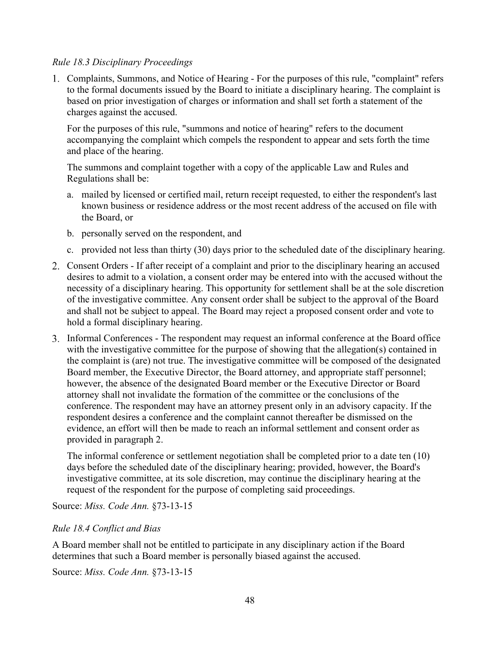## *Rule 18.3 Disciplinary Proceedings*

Complaints, Summons, and Notice of Hearing - For the purposes of this rule, "complaint" refers to the formal documents issued by the Board to initiate a disciplinary hearing. The complaint is based on prior investigation of charges or information and shall set forth a statement of the charges against the accused.

For the purposes of this rule, "summons and notice of hearing" refers to the document accompanying the complaint which compels the respondent to appear and sets forth the time and place of the hearing.

The summons and complaint together with a copy of the applicable Law and Rules and Regulations shall be:

- a. mailed by licensed or certified mail, return receipt requested, to either the respondent's last known business or residence address or the most recent address of the accused on file with the Board, or
- b. personally served on the respondent, and
- c. provided not less than thirty (30) days prior to the scheduled date of the disciplinary hearing.
- Consent Orders If after receipt of a complaint and prior to the disciplinary hearing an accused desires to admit to a violation, a consent order may be entered into with the accused without the necessity of a disciplinary hearing. This opportunity for settlement shall be at the sole discretion of the investigative committee. Any consent order shall be subject to the approval of the Board and shall not be subject to appeal. The Board may reject a proposed consent order and vote to hold a formal disciplinary hearing.
- Informal Conferences The respondent may request an informal conference at the Board office with the investigative committee for the purpose of showing that the allegation(s) contained in the complaint is (are) not true. The investigative committee will be composed of the designated Board member, the Executive Director, the Board attorney, and appropriate staff personnel; however, the absence of the designated Board member or the Executive Director or Board attorney shall not invalidate the formation of the committee or the conclusions of the conference. The respondent may have an attorney present only in an advisory capacity. If the respondent desires a conference and the complaint cannot thereafter be dismissed on the evidence, an effort will then be made to reach an informal settlement and consent order as provided in paragraph 2.

The informal conference or settlement negotiation shall be completed prior to a date ten (10) days before the scheduled date of the disciplinary hearing; provided, however, the Board's investigative committee, at its sole discretion, may continue the disciplinary hearing at the request of the respondent for the purpose of completing said proceedings.

Source: *Miss. Code Ann.* §73-13-15

### *Rule 18.4 Conflict and Bias*

A Board member shall not be entitled to participate in any disciplinary action if the Board determines that such a Board member is personally biased against the accused.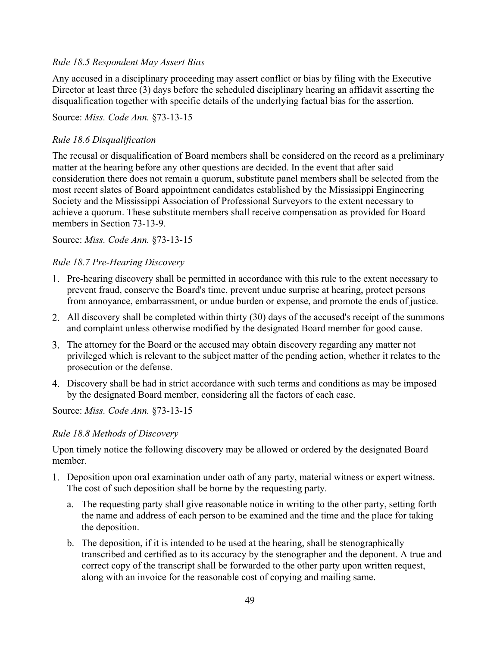# *Rule 18.5 Respondent May Assert Bias*

Any accused in a disciplinary proceeding may assert conflict or bias by filing with the Executive Director at least three (3) days before the scheduled disciplinary hearing an affidavit asserting the disqualification together with specific details of the underlying factual bias for the assertion.

Source: *Miss. Code Ann.* §73-13-15

# *Rule 18.6 Disqualification*

The recusal or disqualification of Board members shall be considered on the record as a preliminary matter at the hearing before any other questions are decided. In the event that after said consideration there does not remain a quorum, substitute panel members shall be selected from the most recent slates of Board appointment candidates established by the Mississippi Engineering Society and the Mississippi Association of Professional Surveyors to the extent necessary to achieve a quorum. These substitute members shall receive compensation as provided for Board members in Section 73-13-9.

Source: *Miss. Code Ann.* §73-13-15

# *Rule 18.7 Pre-Hearing Discovery*

- Pre-hearing discovery shall be permitted in accordance with this rule to the extent necessary to prevent fraud, conserve the Board's time, prevent undue surprise at hearing, protect persons from annoyance, embarrassment, or undue burden or expense, and promote the ends of justice.
- All discovery shall be completed within thirty (30) days of the accused's receipt of the summons and complaint unless otherwise modified by the designated Board member for good cause.
- The attorney for the Board or the accused may obtain discovery regarding any matter not privileged which is relevant to the subject matter of the pending action, whether it relates to the prosecution or the defense.
- Discovery shall be had in strict accordance with such terms and conditions as may be imposed by the designated Board member, considering all the factors of each case.

Source: *Miss. Code Ann.* §73-13-15

### *Rule 18.8 Methods of Discovery*

Upon timely notice the following discovery may be allowed or ordered by the designated Board member.

- Deposition upon oral examination under oath of any party, material witness or expert witness. The cost of such deposition shall be borne by the requesting party.
	- a. The requesting party shall give reasonable notice in writing to the other party, setting forth the name and address of each person to be examined and the time and the place for taking the deposition.
	- b. The deposition, if it is intended to be used at the hearing, shall be stenographically transcribed and certified as to its accuracy by the stenographer and the deponent. A true and correct copy of the transcript shall be forwarded to the other party upon written request, along with an invoice for the reasonable cost of copying and mailing same.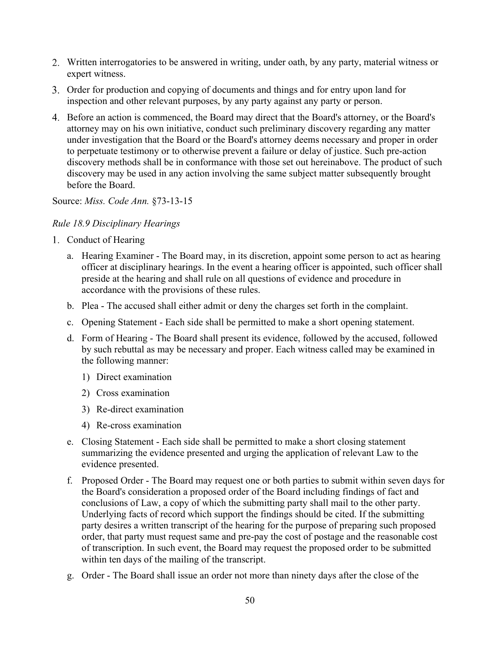- Written interrogatories to be answered in writing, under oath, by any party, material witness or expert witness.
- Order for production and copying of documents and things and for entry upon land for inspection and other relevant purposes, by any party against any party or person.
- Before an action is commenced, the Board may direct that the Board's attorney, or the Board's attorney may on his own initiative, conduct such preliminary discovery regarding any matter under investigation that the Board or the Board's attorney deems necessary and proper in order to perpetuate testimony or to otherwise prevent a failure or delay of justice. Such pre-action discovery methods shall be in conformance with those set out hereinabove. The product of such discovery may be used in any action involving the same subject matter subsequently brought before the Board.

Source: *Miss. Code Ann.* §73-13-15

## *Rule 18.9 Disciplinary Hearings*

- 1. Conduct of Hearing
	- a. Hearing Examiner The Board may, in its discretion, appoint some person to act as hearing officer at disciplinary hearings. In the event a hearing officer is appointed, such officer shall preside at the hearing and shall rule on all questions of evidence and procedure in accordance with the provisions of these rules.
	- b. Plea The accused shall either admit or deny the charges set forth in the complaint.
	- c. Opening Statement Each side shall be permitted to make a short opening statement.
	- d. Form of Hearing The Board shall present its evidence, followed by the accused, followed by such rebuttal as may be necessary and proper. Each witness called may be examined in the following manner:
		- 1) Direct examination
		- 2) Cross examination
		- 3) Re-direct examination
		- 4) Re-cross examination
	- e. Closing Statement Each side shall be permitted to make a short closing statement summarizing the evidence presented and urging the application of relevant Law to the evidence presented.
	- f. Proposed Order The Board may request one or both parties to submit within seven days for the Board's consideration a proposed order of the Board including findings of fact and conclusions of Law, a copy of which the submitting party shall mail to the other party. Underlying facts of record which support the findings should be cited. If the submitting party desires a written transcript of the hearing for the purpose of preparing such proposed order, that party must request same and pre-pay the cost of postage and the reasonable cost of transcription. In such event, the Board may request the proposed order to be submitted within ten days of the mailing of the transcript.
	- g. Order The Board shall issue an order not more than ninety days after the close of the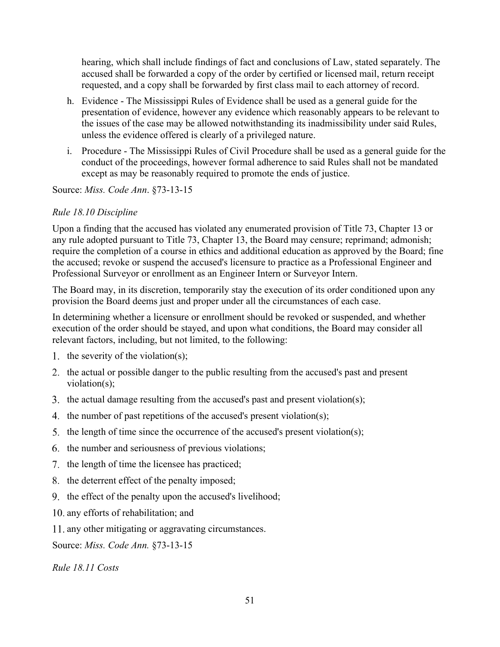hearing, which shall include findings of fact and conclusions of Law, stated separately. The accused shall be forwarded a copy of the order by certified or licensed mail, return receipt requested, and a copy shall be forwarded by first class mail to each attorney of record.

- h. Evidence The Mississippi Rules of Evidence shall be used as a general guide for the presentation of evidence, however any evidence which reasonably appears to be relevant to the issues of the case may be allowed notwithstanding its inadmissibility under said Rules, unless the evidence offered is clearly of a privileged nature.
- i. Procedure The Mississippi Rules of Civil Procedure shall be used as a general guide for the conduct of the proceedings, however formal adherence to said Rules shall not be mandated except as may be reasonably required to promote the ends of justice.

Source: *Miss. Code Ann*. §73-13-15

# *Rule 18.10 Discipline*

Upon a finding that the accused has violated any enumerated provision of Title 73, Chapter 13 or any rule adopted pursuant to Title 73, Chapter 13, the Board may censure; reprimand; admonish; require the completion of a course in ethics and additional education as approved by the Board; fine the accused; revoke or suspend the accused's licensure to practice as a Professional Engineer and Professional Surveyor or enrollment as an Engineer Intern or Surveyor Intern.

The Board may, in its discretion, temporarily stay the execution of its order conditioned upon any provision the Board deems just and proper under all the circumstances of each case.

In determining whether a licensure or enrollment should be revoked or suspended, and whether execution of the order should be stayed, and upon what conditions, the Board may consider all relevant factors, including, but not limited, to the following:

- 1. the severity of the violation(s);
- 2. the actual or possible danger to the public resulting from the accused's past and present violation(s);
- 3. the actual damage resulting from the accused's past and present violation(s);
- 4. the number of past repetitions of the accused's present violation(s);
- 5. the length of time since the occurrence of the accused's present violation(s);
- 6. the number and seriousness of previous violations;
- 7. the length of time the licensee has practiced;
- 8. the deterrent effect of the penalty imposed;
- 9. the effect of the penalty upon the accused's livelihood;
- 10. any efforts of rehabilitation; and
- 11. any other mitigating or aggravating circumstances.

Source: *Miss. Code Ann.* §73-13-15

*Rule 18.11 Costs*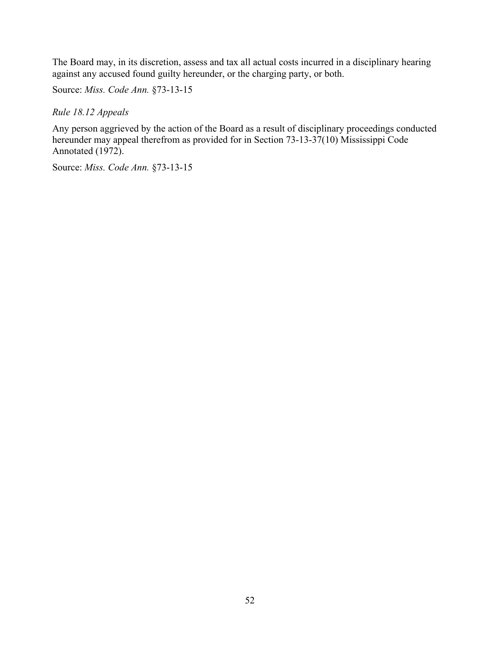The Board may, in its discretion, assess and tax all actual costs incurred in a disciplinary hearing against any accused found guilty hereunder, or the charging party, or both.

Source: *Miss. Code Ann.* §73-13-15

*Rule 18.12 Appeals*

Any person aggrieved by the action of the Board as a result of disciplinary proceedings conducted hereunder may appeal therefrom as provided for in Section 73-13-37(10) Mississippi Code Annotated (1972).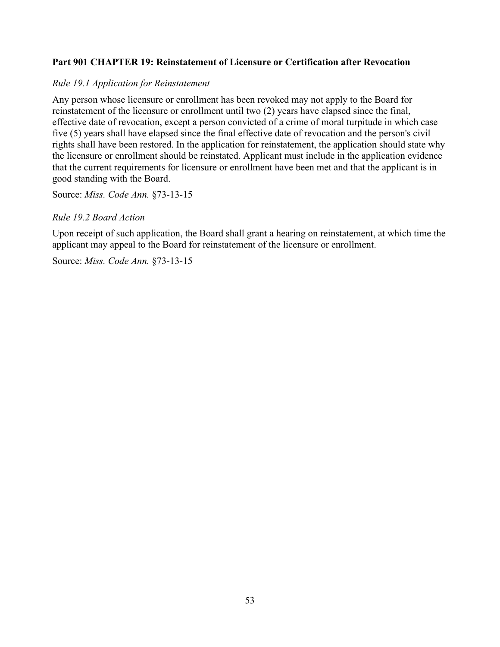# <span id="page-53-0"></span>**Part 901 CHAPTER 19: Reinstatement of Licensure or Certification after Revocation**

## *Rule 19.1 Application for Reinstatement*

Any person whose licensure or enrollment has been revoked may not apply to the Board for reinstatement of the licensure or enrollment until two (2) years have elapsed since the final, effective date of revocation, except a person convicted of a crime of moral turpitude in which case five (5) years shall have elapsed since the final effective date of revocation and the person's civil rights shall have been restored. In the application for reinstatement, the application should state why the licensure or enrollment should be reinstated. Applicant must include in the application evidence that the current requirements for licensure or enrollment have been met and that the applicant is in good standing with the Board.

Source: *Miss. Code Ann.* §73-13-15

## *Rule 19.2 Board Action*

Upon receipt of such application, the Board shall grant a hearing on reinstatement, at which time the applicant may appeal to the Board for reinstatement of the licensure or enrollment.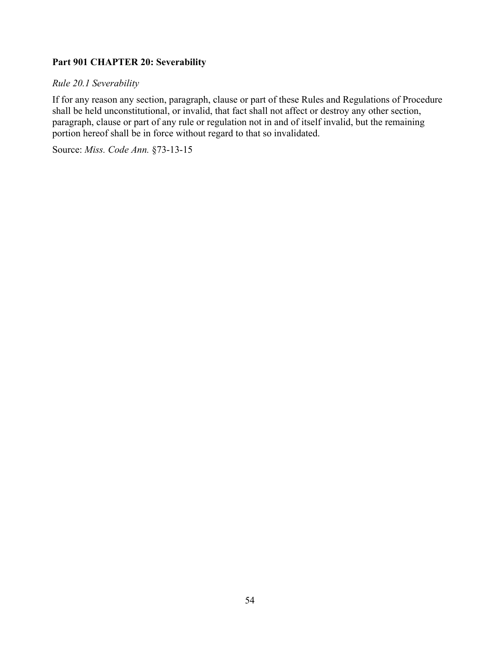# <span id="page-54-0"></span>**Part 901 CHAPTER 20: Severability**

# *Rule 20.1 Severability*

If for any reason any section, paragraph, clause or part of these Rules and Regulations of Procedure shall be held unconstitutional, or invalid, that fact shall not affect or destroy any other section, paragraph, clause or part of any rule or regulation not in and of itself invalid, but the remaining portion hereof shall be in force without regard to that so invalidated.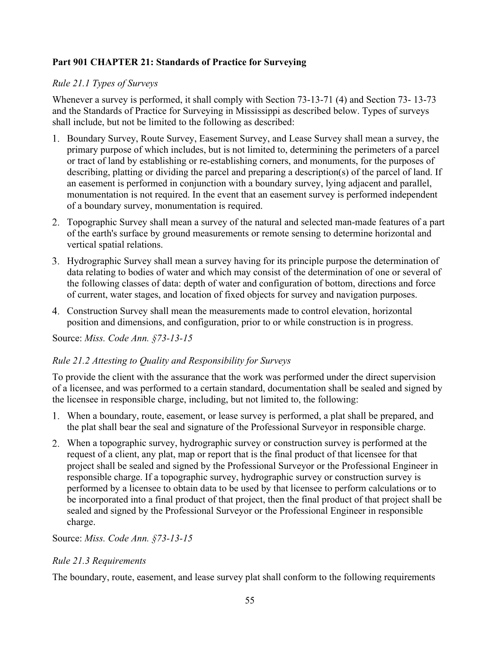# <span id="page-55-0"></span>**Part 901 CHAPTER 21: Standards of Practice for Surveying**

# *Rule 21.1 Types of Surveys*

Whenever a survey is performed, it shall comply with Section 73-13-71 (4) and Section 73- 13-73 and the Standards of Practice for Surveying in Mississippi as described below. Types of surveys shall include, but not be limited to the following as described:

- 1. Boundary Survey, Route Survey, Easement Survey, and Lease Survey shall mean a survey, the primary purpose of which includes, but is not limited to, determining the perimeters of a parcel or tract of land by establishing or re-establishing corners, and monuments, for the purposes of describing, platting or dividing the parcel and preparing a description(s) of the parcel of land. If an easement is performed in conjunction with a boundary survey, lying adjacent and parallel, monumentation is not required. In the event that an easement survey is performed independent of a boundary survey, monumentation is required.
- Topographic Survey shall mean a survey of the natural and selected man-made features of a part of the earth's surface by ground measurements or remote sensing to determine horizontal and vertical spatial relations.
- Hydrographic Survey shall mean a survey having for its principle purpose the determination of data relating to bodies of water and which may consist of the determination of one or several of the following classes of data: depth of water and configuration of bottom, directions and force of current, water stages, and location of fixed objects for survey and navigation purposes.
- Construction Survey shall mean the measurements made to control elevation, horizontal position and dimensions, and configuration, prior to or while construction is in progress.

Source: *Miss. Code Ann. §73-13-15*

# *Rule 21.2 Attesting to Quality and Responsibility for Surveys*

To provide the client with the assurance that the work was performed under the direct supervision of a licensee, and was performed to a certain standard, documentation shall be sealed and signed by the licensee in responsible charge, including, but not limited to, the following:

- When a boundary, route, easement, or lease survey is performed, a plat shall be prepared, and the plat shall bear the seal and signature of the Professional Surveyor in responsible charge.
- When a topographic survey, hydrographic survey or construction survey is performed at the request of a client, any plat, map or report that is the final product of that licensee for that project shall be sealed and signed by the Professional Surveyor or the Professional Engineer in responsible charge. If a topographic survey, hydrographic survey or construction survey is performed by a licensee to obtain data to be used by that licensee to perform calculations or to be incorporated into a final product of that project, then the final product of that project shall be sealed and signed by the Professional Surveyor or the Professional Engineer in responsible charge.

### Source: *Miss. Code Ann. §73-13-15*

# *Rule 21.3 Requirements*

The boundary, route, easement, and lease survey plat shall conform to the following requirements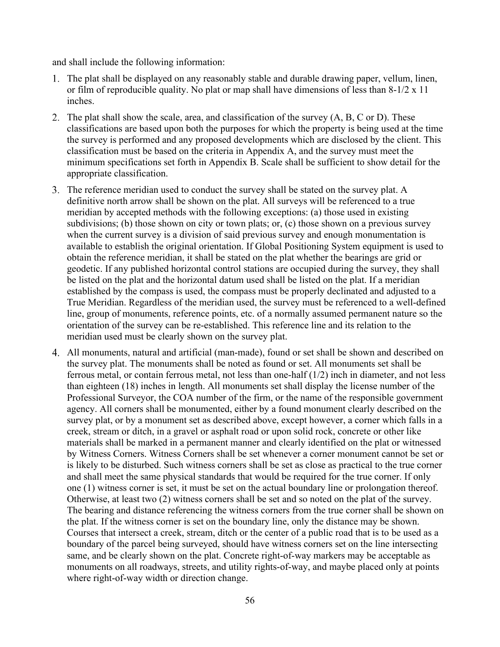and shall include the following information:

- The plat shall be displayed on any reasonably stable and durable drawing paper, vellum, linen, or film of reproducible quality. No plat or map shall have dimensions of less than 8-1/2 x 11 inches.
- 2. The plat shall show the scale, area, and classification of the survey (A, B, C or D). These classifications are based upon both the purposes for which the property is being used at the time the survey is performed and any proposed developments which are disclosed by the client. This classification must be based on the criteria in Appendix A, and the survey must meet the minimum specifications set forth in Appendix B. Scale shall be sufficient to show detail for the appropriate classification.
- The reference meridian used to conduct the survey shall be stated on the survey plat. A definitive north arrow shall be shown on the plat. All surveys will be referenced to a true meridian by accepted methods with the following exceptions: (a) those used in existing subdivisions; (b) those shown on city or town plats; or, (c) those shown on a previous survey when the current survey is a division of said previous survey and enough monumentation is available to establish the original orientation. If Global Positioning System equipment is used to obtain the reference meridian, it shall be stated on the plat whether the bearings are grid or geodetic. If any published horizontal control stations are occupied during the survey, they shall be listed on the plat and the horizontal datum used shall be listed on the plat. If a meridian established by the compass is used, the compass must be properly declinated and adjusted to a True Meridian. Regardless of the meridian used, the survey must be referenced to a well-defined line, group of monuments, reference points, etc. of a normally assumed permanent nature so the orientation of the survey can be re-established. This reference line and its relation to the meridian used must be clearly shown on the survey plat.
- All monuments, natural and artificial (man-made), found or set shall be shown and described on the survey plat. The monuments shall be noted as found or set. All monuments set shall be ferrous metal, or contain ferrous metal, not less than one-half (1/2) inch in diameter, and not less than eighteen (18) inches in length. All monuments set shall display the license number of the Professional Surveyor, the COA number of the firm, or the name of the responsible government agency. All corners shall be monumented, either by a found monument clearly described on the survey plat, or by a monument set as described above, except however, a corner which falls in a creek, stream or ditch, in a gravel or asphalt road or upon solid rock, concrete or other like materials shall be marked in a permanent manner and clearly identified on the plat or witnessed by Witness Corners. Witness Corners shall be set whenever a corner monument cannot be set or is likely to be disturbed. Such witness corners shall be set as close as practical to the true corner and shall meet the same physical standards that would be required for the true corner. If only one (1) witness corner is set, it must be set on the actual boundary line or prolongation thereof. Otherwise, at least two (2) witness corners shall be set and so noted on the plat of the survey. The bearing and distance referencing the witness corners from the true corner shall be shown on the plat. If the witness corner is set on the boundary line, only the distance may be shown. Courses that intersect a creek, stream, ditch or the center of a public road that is to be used as a boundary of the parcel being surveyed, should have witness corners set on the line intersecting same, and be clearly shown on the plat. Concrete right-of-way markers may be acceptable as monuments on all roadways, streets, and utility rights-of-way, and maybe placed only at points where right-of-way width or direction change.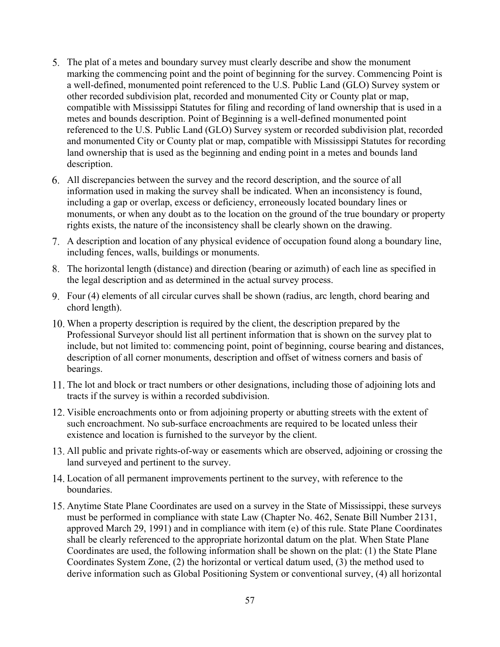- The plat of a metes and boundary survey must clearly describe and show the monument marking the commencing point and the point of beginning for the survey. Commencing Point is a well-defined, monumented point referenced to the U.S. Public Land (GLO) Survey system or other recorded subdivision plat, recorded and monumented City or County plat or map, compatible with Mississippi Statutes for filing and recording of land ownership that is used in a metes and bounds description. Point of Beginning is a well-defined monumented point referenced to the U.S. Public Land (GLO) Survey system or recorded subdivision plat, recorded and monumented City or County plat or map, compatible with Mississippi Statutes for recording land ownership that is used as the beginning and ending point in a metes and bounds land description.
- All discrepancies between the survey and the record description, and the source of all information used in making the survey shall be indicated. When an inconsistency is found, including a gap or overlap, excess or deficiency, erroneously located boundary lines or monuments, or when any doubt as to the location on the ground of the true boundary or property rights exists, the nature of the inconsistency shall be clearly shown on the drawing.
- A description and location of any physical evidence of occupation found along a boundary line, including fences, walls, buildings or monuments.
- The horizontal length (distance) and direction (bearing or azimuth) of each line as specified in the legal description and as determined in the actual survey process.
- Four (4) elements of all circular curves shall be shown (radius, arc length, chord bearing and chord length).
- When a property description is required by the client, the description prepared by the Professional Surveyor should list all pertinent information that is shown on the survey plat to include, but not limited to: commencing point, point of beginning, course bearing and distances, description of all corner monuments, description and offset of witness corners and basis of bearings.
- 11. The lot and block or tract numbers or other designations, including those of adjoining lots and tracts if the survey is within a recorded subdivision.
- 12. Visible encroachments onto or from adjoining property or abutting streets with the extent of such encroachment. No sub-surface encroachments are required to be located unless their existence and location is furnished to the surveyor by the client.
- All public and private rights-of-way or easements which are observed, adjoining or crossing the land surveyed and pertinent to the survey.
- Location of all permanent improvements pertinent to the survey, with reference to the boundaries.
- Anytime State Plane Coordinates are used on a survey in the State of Mississippi, these surveys must be performed in compliance with state Law (Chapter No. 462, Senate Bill Number 2131, approved March 29, 1991) and in compliance with item (e) of this rule. State Plane Coordinates shall be clearly referenced to the appropriate horizontal datum on the plat. When State Plane Coordinates are used, the following information shall be shown on the plat: (1) the State Plane Coordinates System Zone, (2) the horizontal or vertical datum used, (3) the method used to derive information such as Global Positioning System or conventional survey, (4) all horizontal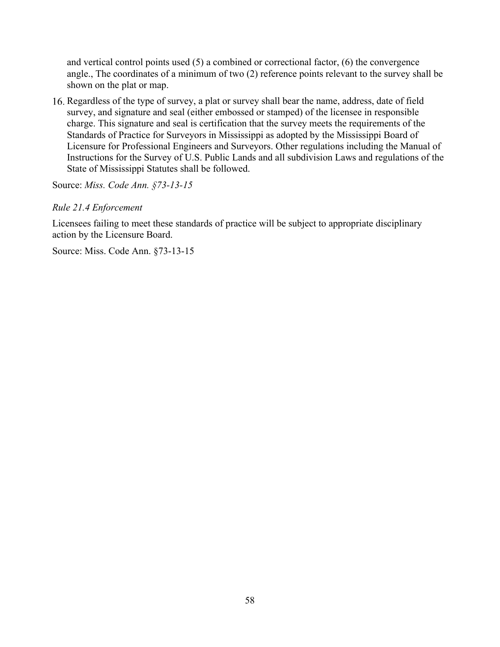and vertical control points used (5) a combined or correctional factor, (6) the convergence angle., The coordinates of a minimum of two (2) reference points relevant to the survey shall be shown on the plat or map.

Regardless of the type of survey, a plat or survey shall bear the name, address, date of field survey, and signature and seal (either embossed or stamped) of the licensee in responsible charge. This signature and seal is certification that the survey meets the requirements of the Standards of Practice for Surveyors in Mississippi as adopted by the Mississippi Board of Licensure for Professional Engineers and Surveyors. Other regulations including the Manual of Instructions for the Survey of U.S. Public Lands and all subdivision Laws and regulations of the State of Mississippi Statutes shall be followed.

Source: *Miss. Code Ann. §73-13-15*

### *Rule 21.4 Enforcement*

Licensees failing to meet these standards of practice will be subject to appropriate disciplinary action by the Licensure Board.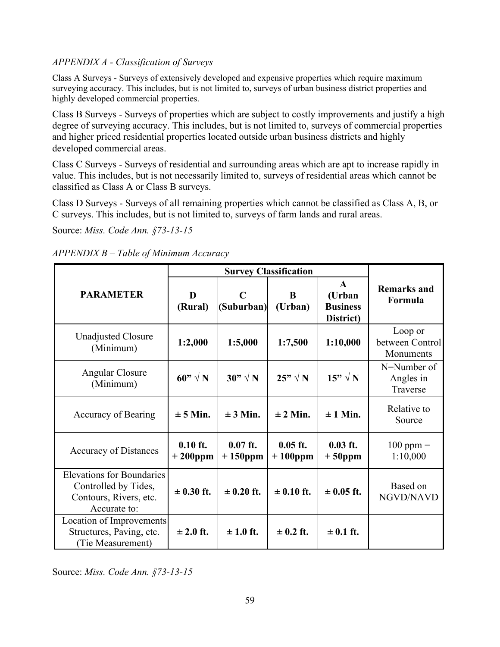# *APPENDIX A - Classification of Surveys*

Class A Surveys - Surveys of extensively developed and expensive properties which require maximum surveying accuracy. This includes, but is not limited to, surveys of urban business district properties and highly developed commercial properties.

Class B Surveys - Surveys of properties which are subject to costly improvements and justify a high degree of surveying accuracy. This includes, but is not limited to, surveys of commercial properties and higher priced residential properties located outside urban business districts and highly developed commercial areas.

Class C Surveys - Surveys of residential and surrounding areas which are apt to increase rapidly in value. This includes, but is not necessarily limited to, surveys of residential areas which cannot be classified as Class A or Class B surveys.

Class D Surveys - Surveys of all remaining properties which cannot be classified as Class A, B, or C surveys. This includes, but is not limited to, surveys of farm lands and rural areas.

Source: *Miss. Code Ann. §73-13-15*

| APPENDIX B - Table of Minimum Accuracy |  |  |
|----------------------------------------|--|--|
|                                        |  |  |

|                                                                                                    | <b>Survey Classification</b> |                           |                          |                                                        |                                         |
|----------------------------------------------------------------------------------------------------|------------------------------|---------------------------|--------------------------|--------------------------------------------------------|-----------------------------------------|
| <b>PARAMETER</b>                                                                                   | D<br>(Rural)                 | $\mathbf C$<br>(Suburban) | B<br>(Urban)             | $\mathbf{A}$<br>(Urban<br><b>Business</b><br>District) | <b>Remarks and</b><br>Formula           |
| Unadjusted Closure<br>(Minimum)                                                                    | 1:2,000                      | 1:5,000                   | 1:7,500                  | 1:10,000                                               | Loop or<br>between Control<br>Monuments |
| Angular Closure<br>(Minimum)                                                                       | 60" $\sqrt{N}$               | $30" \sqrt{N}$            | $25" \sqrt{N}$           | $15" \sqrt{N}$                                         | N=Number of<br>Angles in<br>Traverse    |
| Accuracy of Bearing                                                                                | $\pm$ 5 Min.                 | $\pm 3$ Min.              | $\pm$ 2 Min.             | $\pm$ 1 Min.                                           | Relative to<br>Source                   |
| <b>Accuracy of Distances</b>                                                                       | $0.10$ ft.<br>$+200$ ppm     | $0.07$ ft.<br>$+150$ ppm  | $0.05$ ft.<br>$+100$ ppm | $0.03$ ft.<br>$+50$ ppm                                | $100$ ppm $=$<br>1:10,000               |
| <b>Elevations for Boundaries</b><br>Controlled by Tides,<br>Contours, Rivers, etc.<br>Accurate to: | $\pm$ 0.30 ft.               | $\pm$ 0.20 ft.            | $\pm 0.10$ ft.           | $\pm 0.05$ ft.                                         | Based on<br>NGVD/NAVD                   |
| Location of Improvements<br>Structures, Paving, etc.<br>(Tie Measurement)                          | $\pm 2.0$ ft.                | $\pm 1.0$ ft.             | $\pm$ 0.2 ft.            | $\pm$ 0.1 ft.                                          |                                         |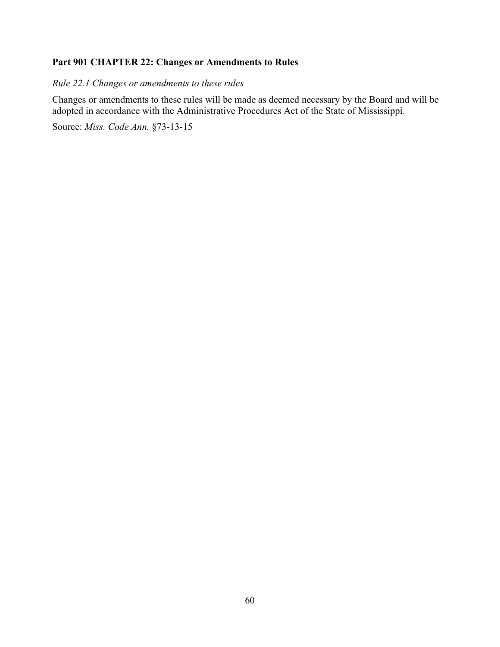# <span id="page-60-0"></span>**Part 901 CHAPTER 22: Changes or Amendments to Rules**

*Rule 22.1 Changes or amendments to these rules*

Changes or amendments to these rules will be made as deemed necessary by the Board and will be adopted in accordance with the Administrative Procedures Act of the State of Mississippi.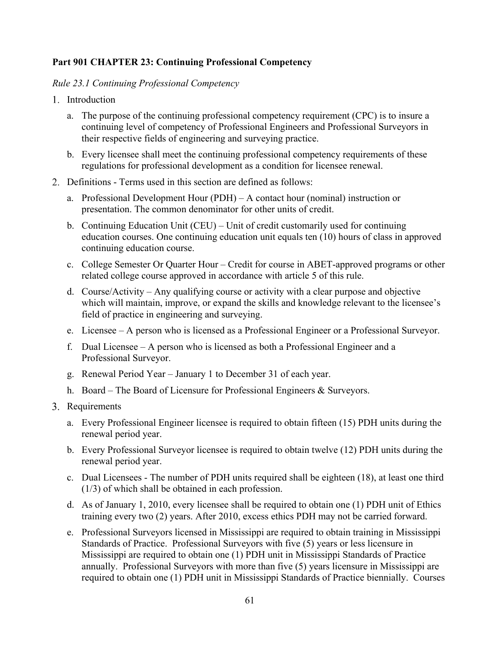# <span id="page-61-0"></span>**Part 901 CHAPTER 23: Continuing Professional Competency**

# *Rule 23.1 Continuing Professional Competency*

- 1. Introduction
	- a. The purpose of the continuing professional competency requirement (CPC) is to insure a continuing level of competency of Professional Engineers and Professional Surveyors in their respective fields of engineering and surveying practice.
	- b. Every licensee shall meet the continuing professional competency requirements of these regulations for professional development as a condition for licensee renewal.
- Definitions Terms used in this section are defined as follows:
	- a. Professional Development Hour (PDH) A contact hour (nominal) instruction or presentation. The common denominator for other units of credit.
	- b. Continuing Education Unit (CEU) Unit of credit customarily used for continuing education courses. One continuing education unit equals ten (10) hours of class in approved continuing education course.
	- c. College Semester Or Quarter Hour Credit for course in ABET-approved programs or other related college course approved in accordance with article 5 of this rule.
	- d. Course/Activity Any qualifying course or activity with a clear purpose and objective which will maintain, improve, or expand the skills and knowledge relevant to the licensee's field of practice in engineering and surveying.
	- e. Licensee A person who is licensed as a Professional Engineer or a Professional Surveyor.
	- f. Dual Licensee A person who is licensed as both a Professional Engineer and a Professional Surveyor.
	- g. Renewal Period Year January 1 to December 31 of each year.
	- h. Board The Board of Licensure for Professional Engineers & Surveyors.
- 3. Requirements
	- a. Every Professional Engineer licensee is required to obtain fifteen (15) PDH units during the renewal period year.
	- b. Every Professional Surveyor licensee is required to obtain twelve (12) PDH units during the renewal period year.
	- c. Dual Licensees The number of PDH units required shall be eighteen (18), at least one third (1/3) of which shall be obtained in each profession.
	- d. As of January 1, 2010, every licensee shall be required to obtain one (1) PDH unit of Ethics training every two (2) years. After 2010, excess ethics PDH may not be carried forward.
	- e. Professional Surveyors licensed in Mississippi are required to obtain training in Mississippi Standards of Practice. Professional Surveyors with five (5) years or less licensure in Mississippi are required to obtain one (1) PDH unit in Mississippi Standards of Practice annually. Professional Surveyors with more than five (5) years licensure in Mississippi are required to obtain one (1) PDH unit in Mississippi Standards of Practice biennially. Courses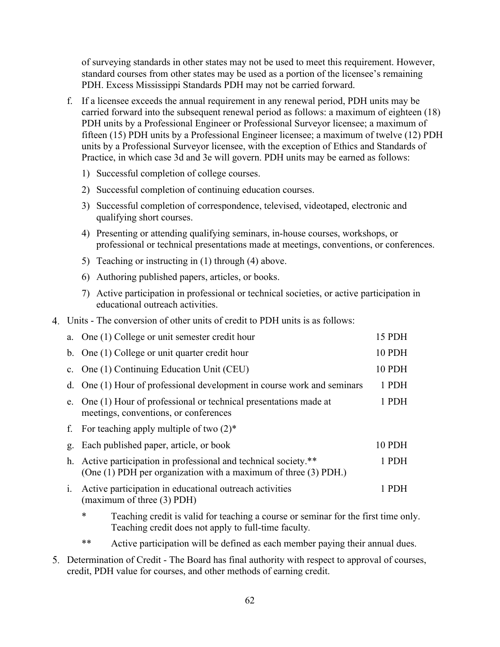of surveying standards in other states may not be used to meet this requirement. However, standard courses from other states may be used as a portion of the licensee's remaining PDH. Excess Mississippi Standards PDH may not be carried forward.

- f. If a licensee exceeds the annual requirement in any renewal period, PDH units may be carried forward into the subsequent renewal period as follows: a maximum of eighteen (18) PDH units by a Professional Engineer or Professional Surveyor licensee; a maximum of fifteen (15) PDH units by a Professional Engineer licensee; a maximum of twelve (12) PDH units by a Professional Surveyor licensee, with the exception of Ethics and Standards of Practice, in which case 3d and 3e will govern. PDH units may be earned as follows:
	- 1) Successful completion of college courses.
	- 2) Successful completion of continuing education courses.
	- 3) Successful completion of correspondence, televised, videotaped, electronic and qualifying short courses.
	- 4) Presenting or attending qualifying seminars, in-house courses, workshops, or professional or technical presentations made at meetings, conventions, or conferences.
	- 5) Teaching or instructing in (1) through (4) above.
	- 6) Authoring published papers, articles, or books.
	- 7) Active participation in professional or technical societies, or active participation in educational outreach activities.
- Units The conversion of other units of credit to PDH units is as follows:

|                | a. One (1) College or unit semester credit hour                                                                                                      | 15 PDH        |
|----------------|------------------------------------------------------------------------------------------------------------------------------------------------------|---------------|
|                | b. One (1) College or unit quarter credit hour                                                                                                       | 10 PDH        |
| $\mathbf{c}$ . | One (1) Continuing Education Unit (CEU)                                                                                                              | <b>10 PDH</b> |
| d.             | One (1) Hour of professional development in course work and seminars                                                                                 | 1 PDH         |
| e.             | One (1) Hour of professional or technical presentations made at<br>meetings, conventions, or conferences                                             | 1 PDH         |
|                | f. For teaching apply multiple of two $(2)^*$                                                                                                        |               |
| g.             | Each published paper, article, or book                                                                                                               | 10 PDH        |
|                | h. Active participation in professional and technical society.**<br>(One $(1)$ PDH per organization with a maximum of three $(3)$ PDH.)              | 1 PDH         |
| 1.             | Active participation in educational outreach activities<br>(maximum of three (3) PDH)                                                                | 1 PDH         |
|                | $\ast$<br>Teaching credit is valid for teaching a course or seminar for the first time only.<br>Teaching credit does not apply to full-time faculty. |               |
|                | **<br>Active participation will be defined as each member paying their annual dues.                                                                  |               |

Determination of Credit - The Board has final authority with respect to approval of courses, credit, PDH value for courses, and other methods of earning credit.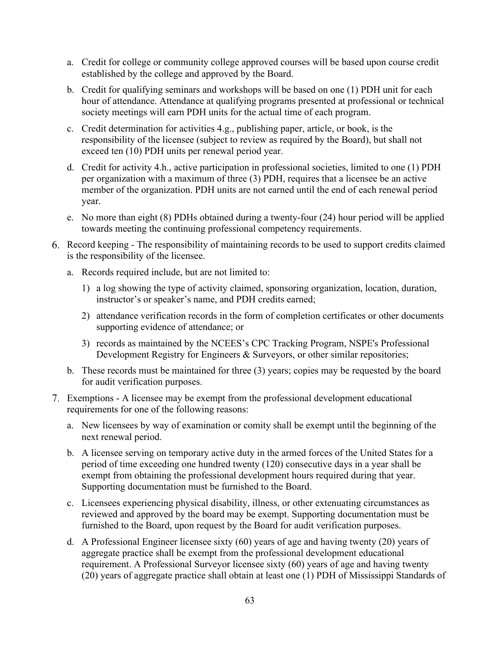- a. Credit for college or community college approved courses will be based upon course credit established by the college and approved by the Board.
- b. Credit for qualifying seminars and workshops will be based on one (1) PDH unit for each hour of attendance. Attendance at qualifying programs presented at professional or technical society meetings will earn PDH units for the actual time of each program.
- c. Credit determination for activities 4.g., publishing paper, article, or book, is the responsibility of the licensee (subject to review as required by the Board), but shall not exceed ten (10) PDH units per renewal period year.
- d. Credit for activity 4.h., active participation in professional societies, limited to one (1) PDH per organization with a maximum of three (3) PDH, requires that a licensee be an active member of the organization. PDH units are not earned until the end of each renewal period year.
- e. No more than eight (8) PDHs obtained during a twenty-four (24) hour period will be applied towards meeting the continuing professional competency requirements.
- Record keeping The responsibility of maintaining records to be used to support credits claimed is the responsibility of the licensee.
	- a. Records required include, but are not limited to:
		- 1) a log showing the type of activity claimed, sponsoring organization, location, duration, instructor's or speaker's name, and PDH credits earned;
		- 2) attendance verification records in the form of completion certificates or other documents supporting evidence of attendance; or
		- 3) records as maintained by the NCEES's CPC Tracking Program, NSPE's Professional Development Registry for Engineers & Surveyors, or other similar repositories;
	- b. These records must be maintained for three (3) years; copies may be requested by the board for audit verification purposes.
- Exemptions A licensee may be exempt from the professional development educational requirements for one of the following reasons:
	- a. New licensees by way of examination or comity shall be exempt until the beginning of the next renewal period.
	- b. A licensee serving on temporary active duty in the armed forces of the United States for a period of time exceeding one hundred twenty (120) consecutive days in a year shall be exempt from obtaining the professional development hours required during that year. Supporting documentation must be furnished to the Board.
	- c. Licensees experiencing physical disability, illness, or other extenuating circumstances as reviewed and approved by the board may be exempt. Supporting documentation must be furnished to the Board, upon request by the Board for audit verification purposes.
	- d. A Professional Engineer licensee sixty (60) years of age and having twenty (20) years of aggregate practice shall be exempt from the professional development educational requirement. A Professional Surveyor licensee sixty (60) years of age and having twenty (20) years of aggregate practice shall obtain at least one (1) PDH of Mississippi Standards of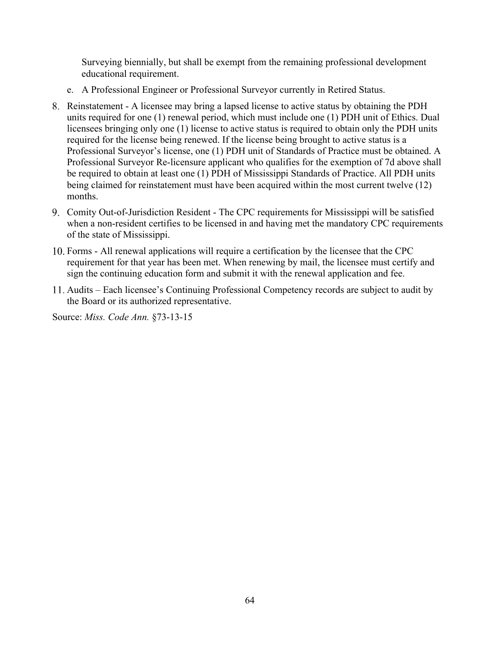Surveying biennially, but shall be exempt from the remaining professional development educational requirement.

- e. A Professional Engineer or Professional Surveyor currently in Retired Status.
- Reinstatement A licensee may bring a lapsed license to active status by obtaining the PDH units required for one (1) renewal period, which must include one (1) PDH unit of Ethics. Dual licensees bringing only one (1) license to active status is required to obtain only the PDH units required for the license being renewed. If the license being brought to active status is a Professional Surveyor's license, one (1) PDH unit of Standards of Practice must be obtained. A Professional Surveyor Re-licensure applicant who qualifies for the exemption of 7d above shall be required to obtain at least one (1) PDH of Mississippi Standards of Practice. All PDH units being claimed for reinstatement must have been acquired within the most current twelve (12) months.
- Comity Out-of-Jurisdiction Resident The CPC requirements for Mississippi will be satisfied when a non-resident certifies to be licensed in and having met the mandatory CPC requirements of the state of Mississippi.
- Forms All renewal applications will require a certification by the licensee that the CPC requirement for that year has been met. When renewing by mail, the licensee must certify and sign the continuing education form and submit it with the renewal application and fee.
- Audits Each licensee's Continuing Professional Competency records are subject to audit by the Board or its authorized representative.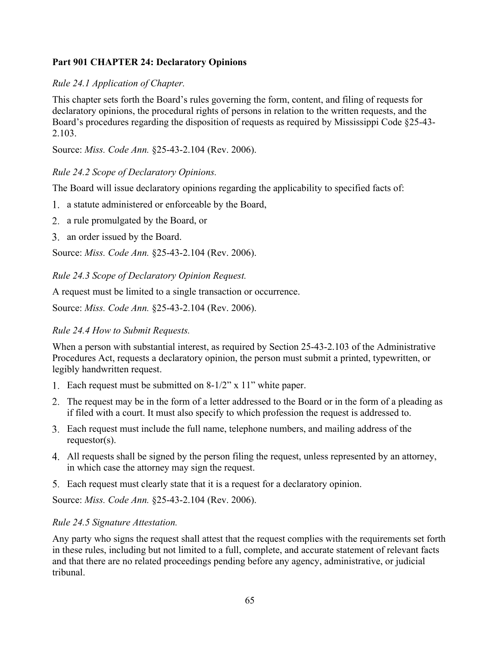# <span id="page-65-0"></span>**Part 901 CHAPTER 24: Declaratory Opinions**

# *Rule 24.1 Application of Chapter.*

This chapter sets forth the Board's rules governing the form, content, and filing of requests for declaratory opinions, the procedural rights of persons in relation to the written requests, and the Board's procedures regarding the disposition of requests as required by Mississippi Code §25-43- 2.103.

Source: *Miss. Code Ann.* §25-43-2.104 (Rev. 2006).

# *Rule 24.2 Scope of Declaratory Opinions.*

The Board will issue declaratory opinions regarding the applicability to specified facts of:

- a statute administered or enforceable by the Board,
- a rule promulgated by the Board, or
- 3. an order issued by the Board.

Source: *Miss. Code Ann.* §25-43-2.104 (Rev. 2006).

*Rule 24.3 Scope of Declaratory Opinion Request.* 

A request must be limited to a single transaction or occurrence.

Source: *Miss. Code Ann.* §25-43-2.104 (Rev. 2006).

# *Rule 24.4 How to Submit Requests.*

When a person with substantial interest, as required by Section 25-43-2.103 of the Administrative Procedures Act, requests a declaratory opinion, the person must submit a printed, typewritten, or legibly handwritten request.

- Each request must be submitted on 8-1/2" x 11" white paper.
- The request may be in the form of a letter addressed to the Board or in the form of a pleading as if filed with a court. It must also specify to which profession the request is addressed to.
- Each request must include the full name, telephone numbers, and mailing address of the requestor(s).
- All requests shall be signed by the person filing the request, unless represented by an attorney, in which case the attorney may sign the request.
- Each request must clearly state that it is a request for a declaratory opinion.

Source: *Miss. Code Ann.* §25-43-2.104 (Rev. 2006).

# *Rule 24.5 Signature Attestation.*

Any party who signs the request shall attest that the request complies with the requirements set forth in these rules, including but not limited to a full, complete, and accurate statement of relevant facts and that there are no related proceedings pending before any agency, administrative, or judicial tribunal.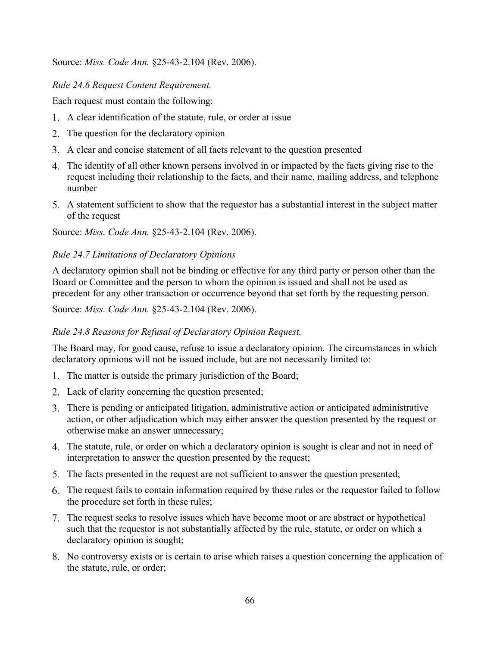Source: *Miss. Code Ann.* §25-43-2.104 (Rev. 2006).

# *Rule 24.6 Request Content Requirement.*

Each request must contain the following:

- A clear identification of the statute, rule, or order at issue
- 2. The question for the declaratory opinion
- A clear and concise statement of all facts relevant to the question presented
- The identity of all other known persons involved in or impacted by the facts giving rise to the request including their relationship to the facts, and their name, mailing address, and telephone number
- A statement sufficient to show that the requestor has a substantial interest in the subject matter of the request

Source: *Miss. Code Ann.* §25-43-2.104 (Rev. 2006).

# *Rule 24.7 Limitations of Declaratory Opinions*

A declaratory opinion shall not be binding or effective for any third party or person other than the Board or Committee and the person to whom the opinion is issued and shall not be used as precedent for any other transaction or occurrence beyond that set forth by the requesting person.

Source: *Miss. Code Ann.* §25-43-2.104 (Rev. 2006).

# *Rule 24.8 Reasons for Refusal of Declaratory Opinion Request.*

The Board may, for good cause, refuse to issue a declaratory opinion. The circumstances in which declaratory opinions will not be issued include, but are not necessarily limited to:

- 1. The matter is outside the primary jurisdiction of the Board;
- 2. Lack of clarity concerning the question presented;
- There is pending or anticipated litigation, administrative action or anticipated administrative action, or other adjudication which may either answer the question presented by the request or otherwise make an answer unnecessary;
- The statute, rule, or order on which a declaratory opinion is sought is clear and not in need of interpretation to answer the question presented by the request;
- The facts presented in the request are not sufficient to answer the question presented;
- The request fails to contain information required by these rules or the requestor failed to follow the procedure set forth in these rules;
- The request seeks to resolve issues which have become moot or are abstract or hypothetical such that the requestor is not substantially affected by the rule, statute, or order on which a declaratory opinion is sought;
- No controversy exists or is certain to arise which raises a question concerning the application of the statute, rule, or order;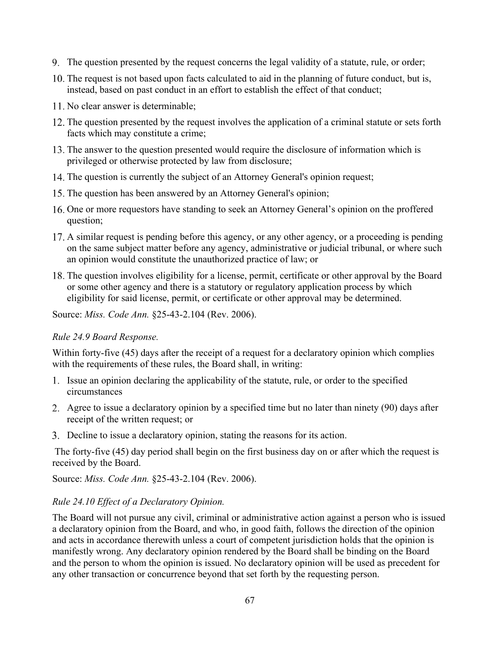- The question presented by the request concerns the legal validity of a statute, rule, or order;
- 10. The request is not based upon facts calculated to aid in the planning of future conduct, but is, instead, based on past conduct in an effort to establish the effect of that conduct;
- 11. No clear answer is determinable:
- 12. The question presented by the request involves the application of a criminal statute or sets forth facts which may constitute a crime;
- The answer to the question presented would require the disclosure of information which is privileged or otherwise protected by law from disclosure;
- 14. The question is currently the subject of an Attorney General's opinion request;
- 15. The question has been answered by an Attorney General's opinion;
- 16. One or more requestors have standing to seek an Attorney General's opinion on the proffered question;
- A similar request is pending before this agency, or any other agency, or a proceeding is pending on the same subject matter before any agency, administrative or judicial tribunal, or where such an opinion would constitute the unauthorized practice of law; or
- The question involves eligibility for a license, permit, certificate or other approval by the Board or some other agency and there is a statutory or regulatory application process by which eligibility for said license, permit, or certificate or other approval may be determined.

Source: *Miss. Code Ann.* §25-43-2.104 (Rev. 2006).

# *Rule 24.9 Board Response.*

Within forty-five (45) days after the receipt of a request for a declaratory opinion which complies with the requirements of these rules, the Board shall, in writing:

- 1. Issue an opinion declaring the applicability of the statute, rule, or order to the specified circumstances
- Agree to issue a declaratory opinion by a specified time but no later than ninety (90) days after receipt of the written request; or
- Decline to issue a declaratory opinion, stating the reasons for its action.

The forty-five (45) day period shall begin on the first business day on or after which the request is received by the Board.

Source: *Miss. Code Ann.* §25-43-2.104 (Rev. 2006).

# *Rule 24.10 Effect of a Declaratory Opinion.*

The Board will not pursue any civil, criminal or administrative action against a person who is issued a declaratory opinion from the Board, and who, in good faith, follows the direction of the opinion and acts in accordance therewith unless a court of competent jurisdiction holds that the opinion is manifestly wrong. Any declaratory opinion rendered by the Board shall be binding on the Board and the person to whom the opinion is issued. No declaratory opinion will be used as precedent for any other transaction or concurrence beyond that set forth by the requesting person.